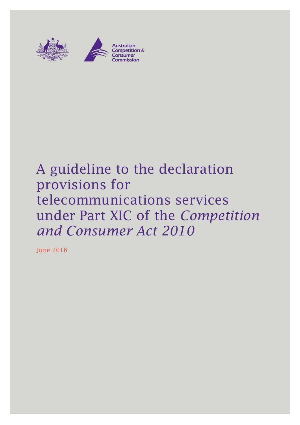

# A guideline to the declaration provisions for telecommunications services under Part XIC of the *Competition and Consumer Act 2010*

June 2016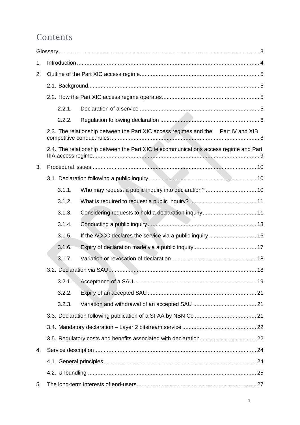## Contents

| 1. |                                                                                      |                                                           |  |  |  |
|----|--------------------------------------------------------------------------------------|-----------------------------------------------------------|--|--|--|
| 2. |                                                                                      |                                                           |  |  |  |
|    |                                                                                      |                                                           |  |  |  |
|    |                                                                                      |                                                           |  |  |  |
|    | 2.2.1.                                                                               |                                                           |  |  |  |
|    | 2.2.2.                                                                               |                                                           |  |  |  |
|    | 2.3. The relationship between the Part XIC access regimes and the Part IV and XIB    |                                                           |  |  |  |
|    | 2.4. The relationship between the Part XIC telecommunications access regime and Part |                                                           |  |  |  |
| 3. |                                                                                      |                                                           |  |  |  |
|    |                                                                                      |                                                           |  |  |  |
|    | 3.1.1.                                                                               |                                                           |  |  |  |
|    | 3.1.2.                                                                               |                                                           |  |  |  |
|    | 3.1.3.                                                                               |                                                           |  |  |  |
|    | 3.1.4.                                                                               |                                                           |  |  |  |
|    | 3.1.5.                                                                               | If the ACCC declares the service via a public inquiry  16 |  |  |  |
|    | 3.1.6.                                                                               |                                                           |  |  |  |
|    | 3.1.7.                                                                               |                                                           |  |  |  |
|    |                                                                                      |                                                           |  |  |  |
|    | 3.2.1.                                                                               |                                                           |  |  |  |
|    | 3.2.2.                                                                               |                                                           |  |  |  |
|    | 3.2.3.                                                                               |                                                           |  |  |  |
|    |                                                                                      |                                                           |  |  |  |
|    |                                                                                      |                                                           |  |  |  |
|    |                                                                                      |                                                           |  |  |  |
| 4. |                                                                                      |                                                           |  |  |  |
|    |                                                                                      |                                                           |  |  |  |
|    |                                                                                      |                                                           |  |  |  |
| 5. |                                                                                      |                                                           |  |  |  |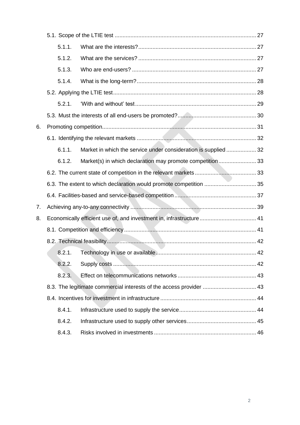|    | 5.1.1.                                                              |                                                                     |  |  |
|----|---------------------------------------------------------------------|---------------------------------------------------------------------|--|--|
|    | 5.1.2.                                                              |                                                                     |  |  |
|    | 5.1.3.                                                              |                                                                     |  |  |
|    | 5.1.4.                                                              |                                                                     |  |  |
|    |                                                                     |                                                                     |  |  |
|    | 5.2.1.                                                              |                                                                     |  |  |
|    |                                                                     |                                                                     |  |  |
| 6. |                                                                     |                                                                     |  |  |
|    |                                                                     |                                                                     |  |  |
|    | 6.1.1.                                                              | Market in which the service under consideration is supplied  32     |  |  |
|    | 6.1.2.                                                              | Market(s) in which declaration may promote competition33            |  |  |
|    |                                                                     |                                                                     |  |  |
|    |                                                                     |                                                                     |  |  |
|    |                                                                     |                                                                     |  |  |
| 7. |                                                                     |                                                                     |  |  |
| 8. |                                                                     | Economically efficient use of, and investment in, infrastructure 41 |  |  |
|    |                                                                     |                                                                     |  |  |
|    |                                                                     |                                                                     |  |  |
|    | 8.2.1.                                                              |                                                                     |  |  |
|    | 8.2.2.                                                              |                                                                     |  |  |
|    | 8.2.3.                                                              |                                                                     |  |  |
|    | 8.3. The legitimate commercial interests of the access provider  43 |                                                                     |  |  |
|    |                                                                     |                                                                     |  |  |
|    | 8.4.1.                                                              |                                                                     |  |  |
|    | 8.4.2.                                                              |                                                                     |  |  |
|    | 8.4.3.                                                              |                                                                     |  |  |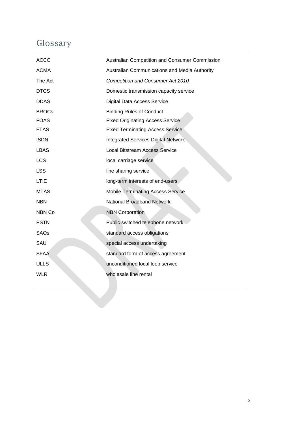## <span id="page-3-0"></span>Glossary

| <b>ACCC</b>  | Australian Competition and Consumer Commission |
|--------------|------------------------------------------------|
| <b>ACMA</b>  | Australian Communications and Media Authority  |
| The Act      | <b>Competition and Consumer Act 2010</b>       |
| <b>DTCS</b>  | Domestic transmission capacity service         |
| <b>DDAS</b>  | <b>Digital Data Access Service</b>             |
| <b>BROCs</b> | <b>Binding Rules of Conduct</b>                |
| <b>FOAS</b>  | <b>Fixed Originating Access Service</b>        |
| <b>FTAS</b>  | <b>Fixed Terminating Access Service</b>        |
| <b>ISDN</b>  | Integrated Services Digital Network            |
| <b>LBAS</b>  | <b>Local Bitstream Access Service</b>          |
| LCS          | local carriage service                         |
| <b>LSS</b>   | line sharing service                           |
| LTIE         | long-term interests of end-users               |
| <b>MTAS</b>  | <b>Mobile Terminating Access Service</b>       |
| <b>NBN</b>   | National Broadband Network                     |
| NBN Co       | <b>NBN Corporation</b>                         |
| <b>PSTN</b>  | Public switched telephone network              |
| <b>SAOs</b>  | standard access obligations                    |
| SAU          | special access undertaking                     |
| <b>SFAA</b>  | standard form of access agreement              |
| <b>ULLS</b>  | unconditioned local loop service               |
| <b>WLR</b>   | wholesale line rental                          |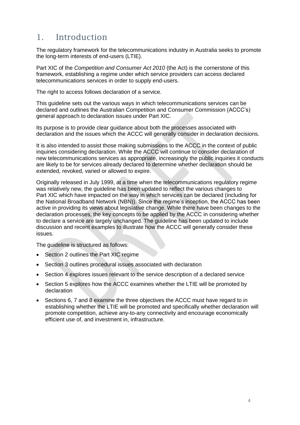## <span id="page-4-0"></span>1. Introduction

The regulatory framework for the telecommunications industry in Australia seeks to promote the long-term interests of end-users (LTIE).

Part XIC of the *Competition and Consumer Act 2010* (the Act) is the cornerstone of this framework, establishing a regime under which service providers can access declared telecommunications services in order to supply end-users.

The right to access follows declaration of a service.

This guideline sets out the various ways in which telecommunications services can be declared and outlines the Australian Competition and Consumer Commission (ACCC's) general approach to declaration issues under Part XIC.

Its purpose is to provide clear guidance about both the processes associated with declaration and the issues which the ACCC will generally consider in declaration decisions.

It is also intended to assist those making submissions to the ACCC in the context of public inquiries considering declaration. While the ACCC will continue to consider declaration of new telecommunications services as appropriate, increasingly the public inquiries it conducts are likely to be for services already declared to determine whether declaration should be extended, revoked, varied or allowed to expire.

Originally released in July 1999, at a time when the telecommunications regulatory regime was relatively new, the guideline has been updated to reflect the various changes to Part XIC which have impacted on the way in which services can be declared (including for the National Broadband Network (NBN)). Since the regime's inception, the ACCC has been active in providing its views about legislative change. While there have been changes to the declaration processes, the key concepts to be applied by the ACCC in considering whether to declare a service are largely unchanged. The guideline has been updated to include discussion and recent examples to illustrate how the ACCC will generally consider these issues.

The quideline is structured as follows:

- Section 2 outlines the Part XIC regime
- Section 3 outlines procedural issues associated with declaration
- Section 4 explores issues relevant to the service description of a declared service
- Section 5 explores how the ACCC examines whether the LTIE will be promoted by declaration
- Sections 6, 7 and 8 examine the three objectives the ACCC must have regard to in establishing whether the LTIE will be promoted and specifically whether declaration will promote competition, achieve any-to-any connectivity and encourage economically efficient use of, and investment in, infrastructure.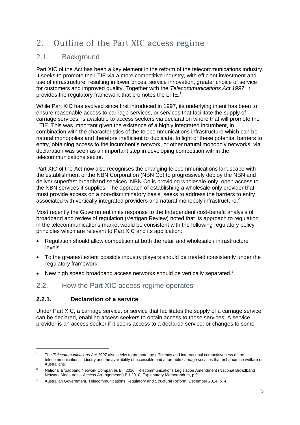## <span id="page-5-0"></span>2. Outline of the Part XIC access regime

## <span id="page-5-1"></span>2.1. Background

Part XIC of the Act has been a key element in the reform of the telecommunications industry. It seeks to promote the LTIE via a more competitive industry, with efficient investment and use of infrastructure, resulting in lower prices, service innovation, greater choice of service for customers and improved quality. Together with the *Telecommunications Act 1997*, it provides the regulatory framework that promotes the LTIE.<sup>1</sup>

While Part XIC has evolved since first introduced in 1997, its underlying intent has been to ensure reasonable access to carriage services, or services that facilitate the supply of carriage services, is available to access seekers via declaration where that will promote the LTIE. This was important given the existence of a highly integrated incumbent, in combination with the characteristics of the telecommunications infrastructure which can be natural monopolies and therefore inefficient to duplicate. In light of these potential barriers to entry, obtaining access to the incumbent's network, or other natural monopoly networks, via declaration was seen as an important step in developing competition within the telecommunications sector.

Part XIC of the Act now also recognises the changing telecommunications landscape with the establishment of the NBN Corporation (NBN Co) to progressively deploy the NBN and deliver superfast broadband services. NBN Co is providing wholesale-only, open access to the NBN services it supplies. The approach of establishing a wholesale only provider that must provide access on a non-discriminatory basis, seeks to address the barriers to entry associated with vertically integrated providers and natural monopoly infrastructure.<sup>2</sup>

Most recently the Government in its response to the Independent cost-benefit analysis of broadband and review of regulation (Vertigan Review) noted that its approach to regulation in the telecommunications market would be consistent with the following regulatory policy principles which are relevant to Part XIC and its application:

- Regulation should allow competition at both the retail and wholesale / infrastructure levels.
- To the greatest extent possible industry players should be treated consistently under the regulatory framework.
- New high speed broadband access networks should be vertically separated. $3$

## <span id="page-5-2"></span>2.2. How the Part XIC access regime operates

#### <span id="page-5-3"></span>**2.2.1. Declaration of a service**

-

Under Part XIC, a carriage service, or service that facilitates the supply of a carriage service, can be declared, enabling access seekers to obtain access to those services. A service provider is an access seeker if it seeks access to a declared service, or changes to some

<sup>1</sup> The *Telecommunications Act 1997* also seeks to promote the efficiency and international competitiveness of the telecommunications industry and the availability of accessible and affordable carriage services that enhance the welfare of **Australians** 

<sup>&</sup>lt;sup>2</sup> National Broadband Network Companies Bill 2010, Telecommunications Legislation Amendment (National Broadband Network Measures – Access Arrangements) Bill 2010, Explanatory Memorandum, p 9.

<sup>&</sup>lt;sup>3</sup> Australian Government, Telecommunications Regulatory and Structural Reform, December 2014, p. 4.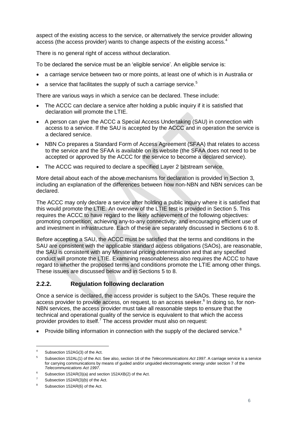aspect of the existing access to the service, or alternatively the service provider allowing access (the access provider) wants to change aspects of the existing access.<sup>4</sup>

There is no general right of access without declaration.

To be declared the service must be an 'eligible service'. An eligible service is:

- a carriage service between two or more points, at least one of which is in Australia or
- a service that facilitates the supply of such a carriage service.<sup>5</sup>

There are various ways in which a service can be declared. These include:

- The ACCC can declare a service after holding a public inquiry if it is satisfied that declaration will promote the LTIE.
- A person can give the ACCC a Special Access Undertaking (SAU) in connection with access to a service. If the SAU is accepted by the ACCC and in operation the service is a declared service.
- NBN Co prepares a Standard Form of Access Agreement (SFAA) that relates to access to the service and the SFAA is available on its website (the SFAA does not need to be accepted or approved by the ACCC for the service to become a declared service).
- The ACCC was required to declare a specified Layer 2 bitstream service.

More detail about each of the above mechanisms for declaration is provided in Section [3,](#page-10-0) including an explanation of the differences between how non-NBN and NBN services can be declared.

The ACCC may only declare a service after holding a public inquiry where it is satisfied that this would promote the LTIE. An overview of the LTIE test is provided in Section [5.](#page-27-0) This requires the ACCC to have regard to the likely achievement of the following objectives: promoting competition; achieving any-to-any connectivity; and encouraging efficient use of and investment in infrastructure. Each of these are separately discussed in Sections [6](#page-31-0) to 8.

Before accepting a SAU, the ACCC must be satisfied that the terms and conditions in the SAU are consistent with the applicable standard access obligations (SAOs), are reasonable, the SAU is consistent with any Ministerial pricing determination and that any specified conduct will promote the LTIE. Examining reasonableness also requires the ACCC to have regard to whether the proposed terms and conditions promote the LTIE among other things. These issues are discussed below and in Sections [5](#page-27-0) to [8.](#page-41-0)

#### <span id="page-6-0"></span>**2.2.2. Regulation following declaration**

Once a service is declared, the access provider is subject to the SAOs. These require the access provider to provide access, on request, to an access seeker.<sup>6</sup> In doing so, for non-NBN services, the access provider must take all reasonable steps to ensure that the technical and operational quality of the service is equivalent to that which the access provider provides to itself.<sup> $7$ </sup> The access provider must also on request:

• Provide billing information in connection with the supply of the declared service.<sup>8</sup>

<sup>4</sup> Subsection 152AG(3) of the Act.

<sup>5</sup> Subsection 152AL(1) of the Act. See also, section 16 of the *Telecommunications Act 1997*. A carriage service is a service for carrying communications by means of guided and/or unguided electromagnetic energy under section 7 of the *Telecommunications Act 1997*.

<sup>&</sup>lt;sup>6</sup> Subsection 152AR(3)(a) and section 152AXB(2) of the Act.

Subsection 152AR(3)(b) of the Act.

<sup>8</sup> Subsection 152AR(6) of the Act.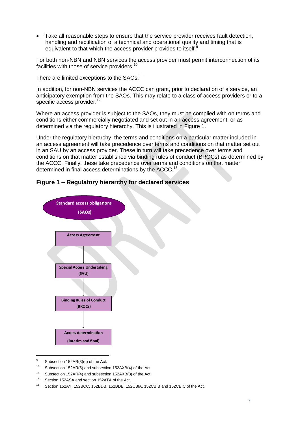Take all reasonable steps to ensure that the service provider receives fault detection, handling and rectification of a technical and operational quality and timing that is equivalent to that which the access provider provides to itself.<sup>8</sup>

For both non-NBN and NBN services the access provider must permit interconnection of its facilities with those of service providers.<sup>10</sup>

There are limited exceptions to the SAOs.<sup>11</sup>

In addition, for non-NBN services the ACCC can grant, prior to declaration of a service, an anticipatory exemption from the SAOs. This may relate to a class of access providers or to a specific access provider.<sup>12</sup>

Where an access provider is subject to the SAOs, they must be complied with on terms and conditions either commercially negotiated and set out in an access agreement, or as determined via the regulatory hierarchy. This is illustrated in Figure 1.

Under the regulatory hierarchy, the terms and conditions on a particular matter included in an access agreement will take precedence over terms and conditions on that matter set out in an SAU by an access provider. These in turn will take precedence over terms and conditions on that matter established via binding rules of conduct (BROCs) as determined by the ACCC. Finally, these take precedence over terms and conditions on that matter determined in final access determinations by the ACCC.<sup>13</sup>



#### **Figure 1 – Regulatory hierarchy for declared services**

Subsection 152AR(3)(c) of the Act.

<sup>10</sup> Subsection 152AR(5) and subsection 152AXB(4) of the Act.

<sup>11</sup> Subsection 152AR(4) and subsection 152AXB(3) of the Act.

<sup>&</sup>lt;sup>12</sup> Section 152ASA and section 152ATA of the Act.

<sup>13</sup> Section 152AY, 152BCC, 152BDB, 152BDE, 152CBIA, 152CBIB and 152CBIC of the Act.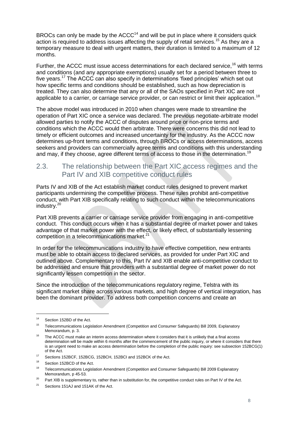BROCs can only be made by the  $ACCC<sup>14</sup>$  and will be put in place where it considers quick action is required to address issues affecting the supply of retail services.<sup>15</sup> As they are a temporary measure to deal with urgent matters, their duration is limited to a maximum of 12 months.

Further, the ACCC must issue access determinations for each declared service.<sup>16</sup> with terms and conditions (and any appropriate exemptions) usually set for a period between three to five years.<sup>17</sup> The ACCC can also specify in determinations 'fixed principles' which set out how specific terms and conditions should be established, such as how depreciation is treated. They can also determine that any or all of the SAOs specified in Part XIC are not applicable to a carrier, or carriage service provider, or can restrict or limit their application.<sup>18</sup>

The above model was introduced in 2010 when changes were made to streamline the operation of Part XIC once a service was declared. The previous negotiate-arbitrate model allowed parties to notify the ACCC of disputes around price or non-price terms and conditions which the ACCC would then arbitrate. There were concerns this did not lead to timely or efficient outcomes and increased uncertainty for the industry. As the ACCC now determines up-front terms and conditions, through BROCs or access determinations, access seekers and providers can commercially agree terms and conditions with this understanding and may, if they choose, agree different terms of access to those in the determination.<sup>19</sup>

### <span id="page-8-0"></span>2.3. The relationship between the Part XIC access regimes and the Part IV and XIB competitive conduct rules

Parts IV and XIB of the Act establish market conduct rules designed to prevent market participants undermining the competitive process. These rules prohibit anti-competitive conduct, with Part XIB specifically relating to such conduct within the telecommunications industry.<sup>20</sup>

Part XIB prevents a carrier or carriage service provider from engaging in anti-competitive conduct. This conduct occurs when it has a substantial degree of market power and takes advantage of that market power with the effect, or likely effect, of substantially lessening competition in a telecommunications market. $21$ 

In order for the telecommunications industry to have effective competition, new entrants must be able to obtain access to declared services, as provided for under Part XIC and outlined above. Complementary to this, Part IV and XIB enable anti-competitive conduct to be addressed and ensure that providers with a substantial degree of market power do not significantly lessen competition in the sector.

Since the introduction of the telecommunications regulatory regime, Telstra with its significant market share across various markets, and high degree of vertical integration, has been the dominant provider. To address both competition concerns and create an

<sup>&</sup>lt;sup>14</sup> Section 152BD of the Act.

<sup>15</sup> Telecommunications Legislation Amendment (Competition and Consumer Safeguards) Bill 2009, Explanatory Memorandum, p. 3.

 $16$  The ACCC must make an interim access determination where it considers that it is unlikely that a final access determination will be made within 6 months after the commencement of the public inquiry, or where it considers that there is an urgent need to make an access determination before the completion of the public inquiry: see subsection 152BCG(1) of the Act.

<sup>&</sup>lt;sup>17</sup> Sections 152BCF, 152BCG, 152BCH, 152BCI and 152BCK of the Act.

Section 152BCD of the Act.

<sup>&</sup>lt;sup>19</sup> Telecommunications Legislation Amendment (Competition and Consumer Safeguards) Bill 2009 Explanatory Memorandum, p 45-53.

<sup>&</sup>lt;sup>20</sup> Part XIB is supplementary to, rather than in substitution for, the competitive conduct rules on Part IV of the Act.

Sections 151AJ and 151AK of the Act.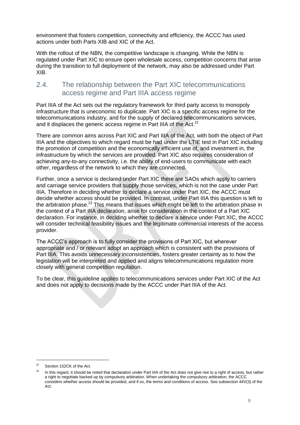environment that fosters competition, connectivity and efficiency, the ACCC has used actions under both Parts XIB and XIC of the Act.

With the rollout of the NBN, the competitive landscape is changing. While the NBN is regulated under Part XIC to ensure open wholesale access, competition concerns that arise during the transition to full deployment of the network, may also be addressed under Part XIB.

### <span id="page-9-0"></span>2.4. The relationship between the Part XIC telecommunications access regime and Part IIIA access regime

Part IIIA of the Act sets out the regulatory framework for third party access to monopoly infrastructure that is uneconomic to duplicate. Part XIC is a specific access regime for the telecommunications industry, and for the supply of declared telecommunications services, and it displaces the generic access regime in Part IIIA of the Act.<sup>22</sup>

There are common aims across Part XIC and Part IIIA of the Act, with both the object of Part IIIA and the objectives to which regard must be had under the LTIE test in Part XIC including the promotion of competition and the economically efficient use of, and investment in, the infrastructure by which the services are provided. Part XIC also requires consideration of achieving any-to-any connectivity, i.e. the ability of end-users to communicate with each other, regardless of the network to which they are connected.

Further, once a service is declared under Part XIC there are SAOs which apply to carriers and carriage service providers that supply those services, which is not the case under Part IIIA. Therefore in deciding whether to declare a service under Part XIC, the ACCC must decide whether access should be provided. In contrast, under Part IIIA this question is left to the arbitration phase. $^{23}$  This means that issues which might be left to the arbitration phase in the context of a Part IIIA declaration, arise for consideration in the context of a Part XIC declaration. For instance, in deciding whether to declare a service under Part XIC, the ACCC will consider technical feasibility issues and the legitimate commercial interests of the access provider.

The ACCC's approach is to fully consider the provisions of Part XIC, but wherever appropriate and / or relevant adopt an approach which is consistent with the provisions of Part IIIA. This avoids unnecessary inconsistencies, fosters greater certainty as to how the legislation will be interpreted and applied and aligns telecommunications regulation more closely with general competition regulation.

To be clear, this guideline applies to telecommunications services under Part XIC of the Act and does not apply to decisions made by the ACCC under Part IIIA of the Act.

<sup>22</sup> Section 152CK of the Act.

<sup>&</sup>lt;sup>23</sup> In this regard, it should be noted that declaration under Part IIIA of the Act does not give rise to a right of access, but rather a right to negotiate backed up by compulsory arbitration. When undertaking the compulsory arbitration, the ACCC considers whether access should be provided, and if so, the terms and conditions of access. See subsection 44V(3) of the Act.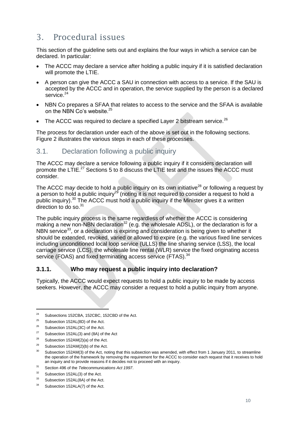## <span id="page-10-0"></span>3. Procedural issues

This section of the guideline sets out and explains the four ways in which a service can be declared. In particular:

- The ACCC may declare a service after holding a public inquiry if it is satisfied declaration will promote the LTIE.
- A person can give the ACCC a SAU in connection with access to a service. If the SAU is accepted by the ACCC and in operation, the service supplied by the person is a declared service.<sup>24</sup>
- NBN Co prepares a SFAA that relates to access to the service and the SFAA is available on the NBN Co's website.<sup>25</sup>
- The ACCC was required to declare a specified Layer 2 bitstream service. $^{26}$

The process for declaration under each of the above is set out in the following sections. [Figure 2](#page-23-0) illustrates the various steps in each of these processes.

## <span id="page-10-1"></span>3.1. Declaration following a public inquiry

The ACCC may declare a service following a public inquiry if it considers declaration will promote the LTIE.<sup>27</sup> Sections [5](#page-27-0) to [8](#page-41-0) discuss the LTIE test and the issues the ACCC must consider.

The ACCC may decide to hold a public inquiry on its own initiative<sup>28</sup> or following a request by a person to hold a public inquiry<sup>29</sup> (noting it is not required to consider a request to hold a public inquiry).<sup>30</sup> The ACCC must hold a public inquiry if the Minister gives it a written direction to do so. $31$ 

The public inquiry process is the same regardless of whether the ACCC is considering making a new non-NBN declaration<sup>32</sup> (e.g. the wholesale ADSL), or the declaration is for a NBN service<sup>33</sup>, or a declaration is expiring and consideration is being given to whether it should be extended, revoked, varied or allowed to expire (e.g. the various fixed line services including unconditioned local loop service (ULLS) the line sharing service (LSS), the local carriage service (LCS), the wholesale line rental (WLR) service the fixed originating access service (FOAS) and fixed terminating access service (FTAS).<sup>34</sup>

#### <span id="page-10-2"></span>**3.1.1. Who may request a public inquiry into declaration?**

Typically, the ACCC would expect requests to hold a public inquiry to be made by access seekers. However, the ACCC may consider a request to hold a public inquiry from anyone.

<sup>&</sup>lt;sup>24</sup> Subsections 152CBA, 152CBC, 152CBD of the Act.

 $25$  Subsection 152AL(8D) of the Act.

 $26$  Subsection 152AL(3C) of the Act.

<sup>&</sup>lt;sup>27</sup> Subsection 152AL(3) and (8A) of the Act<br><sup>28</sup> Subsection 453AM(3)(a) of the Act

<sup>&</sup>lt;sup>28</sup> Subsection 152AM(2)(a) of the Act.

Subsection 152AM(2)(b) of the Act.

<sup>&</sup>lt;sup>30</sup> Subsection 152AM(3) of the Act, noting that this subsection was amended, with effect from 1 January 2011, to streamline the operation of the framework by removing the requirement for the ACCC to consider each request that it receives to hold an inquiry and to provide reasons if it decides not to proceed with an inquiry.

<sup>31</sup> Section 496 of the *Telecommunications Act 1997*.

<sup>32</sup> Subsection 152AL(3) of the Act.

<sup>&</sup>lt;sup>33</sup> Subsection 152AL(8A) of the Act.

<sup>&</sup>lt;sup>34</sup> Subsection 152ALA(7) of the Act.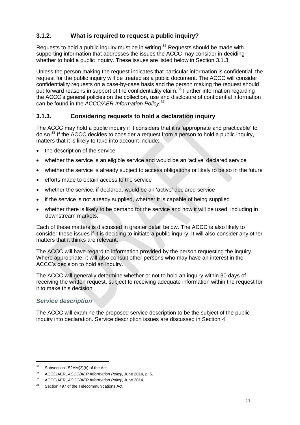## <span id="page-11-0"></span>**3.1.2. What is required to request a public inquiry?**

Requests to hold a public inquiry must be in writing.<sup>35</sup> Requests should be made with supporting information that addresses the issues the ACCC may consider in deciding whether to hold a public inquiry. These issues are listed below in Section [3.1.3.](#page-11-1)

Unless the person making the request indicates that particular information is confidential, the request for the public inquiry will be treated as a public document. The ACCC will consider confidentiality requests on a case-by-case basis and the person making the request should put forward reasons in support of the confidentiality claim.<sup>36</sup> Further information regarding the ACCC's general policies on the collection, use and disclosure of confidential information can be found in the *ACCC/AER Information Policy.*<sup>37</sup>

#### <span id="page-11-1"></span>**3.1.3. Considering requests to hold a declaration inquiry**

The ACCC may hold a public inquiry if it considers that it is 'appropriate and practicable' to do so.<sup>38</sup> If the ACCC decides to consider a request from a person to hold a public inquiry, matters that it is likely to take into account include:

- the description of the service
- whether the service is an eligible service and would be an 'active' declared service
- whether the service is already subject to access obligations or likely to be so in the future
- efforts made to obtain access to the service
- whether the service, if declared, would be an 'active' declared service
- if the service is not already supplied, whether it is capable of being supplied
- whether there is likely to be demand for the service and how it will be used, including in downstream markets.

Each of these matters is discussed in greater detail below. The ACCC is also likely to consider these issues if it is deciding to initiate a public inquiry. It will also consider any other matters that it thinks are relevant.

The ACCC will have regard to information provided by the person requesting the inquiry. Where appropriate, it will also consult other persons who may have an interest in the ACCC's decision to hold an inquiry.

The ACCC will generally determine whether or not to hold an inquiry within 30 days of receiving the written request, subject to receiving adequate information within the request for it to make this decision.

#### *Service description*

The ACCC will examine the proposed service description to be the subject of the public inquiry into declaration. Service description issues are discussed in Section [4.](#page-24-0)

 $35$  Subsection 152AM(2)(b) of the Act.

<sup>36</sup> ACCC/AER, *ACCC/AER Information Policy*, June 2014, p. 5.

<sup>37</sup> ACCC/AER, *ACCC/AER Information Policy*, June 2014.

Section 497 of the Telecommunications Act.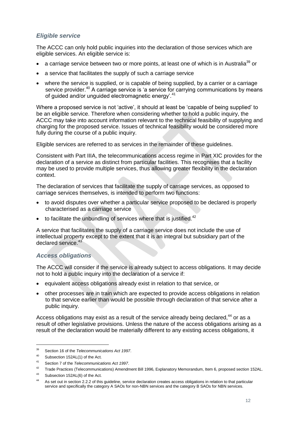#### *Eligible service*

The ACCC can only hold public inquiries into the declaration of those services which are eligible services. An eligible service is:

- a carriage service between two or more points, at least one of which is in Australia<sup>39</sup> or
- a service that facilitates the supply of such a carriage service
- where the service is supplied, or is capable of being supplied, by a carrier or a carriage service provider.<sup>40</sup> A carriage service is 'a service for carrying communications by means of guided and/or unguided electromagnetic energy'.<sup>41</sup>

Where a proposed service is not 'active', it should at least be 'capable of being supplied' to be an eligible service. Therefore when considering whether to hold a public inquiry, the ACCC may take into account information relevant to the technical feasibility of supplying and charging for the proposed service. Issues of technical feasibility would be considered more fully during the course of a public inquiry.

Eligible services are referred to as services in the remainder of these guidelines.

Consistent with Part IIIA, the telecommunications access regime in Part XIC provides for the declaration of a service as distinct from particular facilities. This recognises that a facility may be used to provide multiple services, thus allowing greater flexibility in the declaration context.

The declaration of services that facilitate the supply of carriage services, as opposed to carriage services themselves, is intended to perform two functions:

- to avoid disputes over whether a particular service proposed to be declared is properly characterised as a carriage service
- $\bullet$  to facilitate the unbundling of services where that is justified.<sup>42</sup>

A service that facilitates the supply of a carriage service does not include the use of intellectual property except to the extent that it is an integral but subsidiary part of the declared service.<sup>43</sup>

#### *Access obligations*

The ACCC will consider if the service is already subject to access obligations. It may decide not to hold a public inquiry into the declaration of a service if:

- equivalent access obligations already exist in relation to that service, or
- other processes are in train which are expected to provide access obligations in relation to that service earlier than would be possible through declaration of that service after a public inquiry.

Access obligations may exist as a result of the service already being declared.<sup>44</sup> or as a result of other legislative provisions. Unless the nature of the access obligations arising as a result of the declaration would be materially different to any existing access obligations, it

<sup>39</sup> Section 16 of the *Telecommunications Act 1997*.

<sup>40</sup> Subsection 152AL(1) of the Act.

<sup>41</sup> Section 7 of the *Telecommunications Act 1997*.

<sup>&</sup>lt;sup>42</sup> Trade Practices (Telecommunications) Amendment Bill 1996, Explanatory Memorandum, Item 6, proposed section 152AL.

<sup>&</sup>lt;sup>43</sup> Subsection 152AL(6) of the Act.

As set out in section [2.2.2](#page-6-0) of this quideline, service declaration creates access obligations in relation to that particular service and specifically the category A SAOs for non-NBN services and the category B SAOs for NBN services.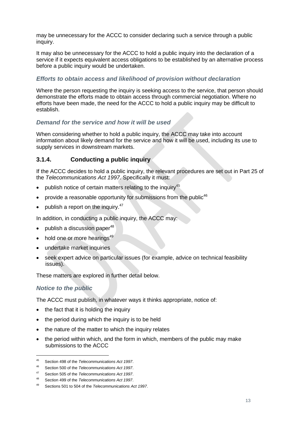may be unnecessary for the ACCC to consider declaring such a service through a public inquiry.

It may also be unnecessary for the ACCC to hold a public inquiry into the declaration of a service if it expects equivalent access obligations to be established by an alternative process before a public inquiry would be undertaken.

#### *Efforts to obtain access and likelihood of provision without declaration*

Where the person requesting the inquiry is seeking access to the service, that person should demonstrate the efforts made to obtain access through commercial negotiation. Where no efforts have been made, the need for the ACCC to hold a public inquiry may be difficult to establish.

#### *Demand for the service and how it will be used*

When considering whether to hold a public inquiry, the ACCC may take into account information about likely demand for the service and how it will be used, including its use to supply services in downstream markets.

#### <span id="page-13-0"></span>**3.1.4. Conducting a public inquiry**

If the ACCC decides to hold a public inquiry, the relevant procedures are set out in Part 25 of the *Telecommunications Act 1997*. Specifically it must:

- publish notice of certain matters relating to the inquiry<sup>45</sup>
- provide a reasonable opportunity for submissions from the public<sup>46</sup>
- publish a report on the inquiry. $47$

In addition, in conducting a public inquiry, the ACCC may:

- publish a discussion paper $48$
- $\bullet$  hold one or more hearings<sup>49</sup>
- undertake market inquiries
- seek expert advice on particular issues (for example, advice on technical feasibility issues).

These matters are explored in further detail below.

#### *Notice to the public*

-

The ACCC must publish, in whatever ways it thinks appropriate, notice of:

- the fact that it is holding the inquiry
- the period during which the inquiry is to be held
- the nature of the matter to which the inquiry relates
- the period within which, and the form in which, members of the public may make submissions to the ACCC

<sup>45</sup> Section 498 of the *Telecommunications Act 1997*.

<sup>46</sup> Section 500 of the *Telecommunications Act 1997*.

<sup>47</sup> Section 505 of the *Telecommunications Act 1997*.

<sup>48</sup> Section 499 of the *Telecommunications Act 1997*.

<sup>49</sup> Sections 501 to 504 of the *Telecommunications Act 1997*.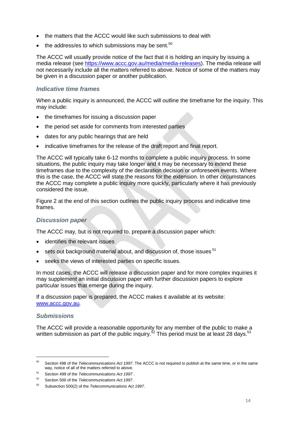- the matters that the ACCC would like such submissions to deal with
- $\bullet$  the address/es to which submissions may be sent.<sup>50</sup>

The ACCC will usually provide notice of the fact that it is holding an inquiry by issuing a media release (see [https://www.accc.gov.au/media/media-releases\)](https://www.accc.gov.au/media/media-releases). The media release will not necessarily include all the matters referred to above. Notice of some of the matters may be given in a discussion paper or another publication.

#### *Indicative time frames*

When a public inquiry is announced, the ACCC will outline the timeframe for the inquiry. This may include:

- the timeframes for issuing a discussion paper
- the period set aside for comments from interested parties
- dates for any public hearings that are held
- indicative timeframes for the release of the draft report and final report.

The ACCC will typically take 6-12 months to complete a public inquiry process. In some situations, the public inquiry may take longer and it may be necessary to extend these timeframes due to the complexity of the declaration decision or unforeseen events. Where this is the case, the ACCC will state the reasons for the extension. In other circumstances the ACCC may complete a public inquiry more quickly, particularly where it has previously considered the issue.

[Figure 2](#page-23-0) at the end of this section outlines the public inquiry process and indicative time frames.

#### *Discussion paper*

The ACCC may, but is not required to, prepare a discussion paper which:

- identifies the relevant issues
- sets out background material about, and discussion of, those issues <sup>51</sup>
- seeks the views of interested parties on specific issues.

In most cases, the ACCC will release a discussion paper and for more complex inquiries it may supplement an initial discussion paper with further discussion papers to explore particular issues that emerge during the inquiry.

If a discussion paper is prepared, the ACCC makes it available at its website: [www.accc.gov.au](http://www.accc.gov.au/)*.*

#### *Submissions*

-

The ACCC will provide a reasonable opportunity for any member of the public to make a written submission as part of the public inquiry.<sup>52</sup> This period must be at least 28 days.<sup>53</sup>

<sup>50</sup> Section 498 of the *Telecommunications Act 1997*. The ACCC is not required to publish at the same time, or in the same way, notice of all of the matters referred to above.

<sup>51</sup> Section 499 of the *Telecommunications Act 1997* .

<sup>52</sup> Section 500 of the *Telecommunications Act 1997*.

<sup>53</sup> Subsection 500(2) of the *Telecommunications Act 1997*.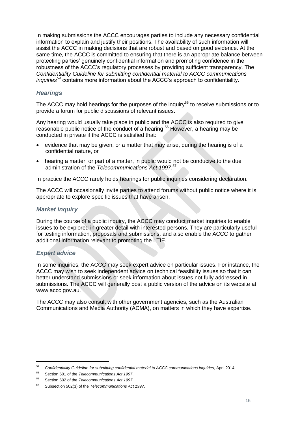In making submissions the ACCC encourages parties to include any necessary confidential information to explain and justify their positions. The availability of such information will assist the ACCC in making decisions that are robust and based on good evidence. At the same time, the ACCC is committed to ensuring that there is an appropriate balance between protecting parties' genuinely confidential information and promoting confidence in the robustness of the ACCC's regulatory processes by providing sufficient transparency. The *Confidentiality Guideline for submitting confidential material to ACCC communications inquiries<sup>54</sup>* contains more information about the ACCC's approach to confidentiality.

#### *Hearings*

The ACCC may hold hearings for the purposes of the inquiry<sup>55</sup> to receive submissions or to provide a forum for public discussions of relevant issues.

Any hearing would usually take place in public and the ACCC is also required to give reasonable public notice of the conduct of a hearing.<sup>56</sup> However, a hearing may be conducted in private if the ACCC is satisfied that:

- evidence that may be given, or a matter that may arise, during the hearing is of a confidential nature, or
- hearing a matter, or part of a matter, in public would not be conducive to the due administration of the *Telecommunications Act 1997*. 57

In practice the ACCC rarely holds hearings for public inquiries considering declaration.

The ACCC will occasionally invite parties to attend forums without public notice where it is appropriate to explore specific issues that have arisen.

#### *Market inquiry*

During the course of a public inquiry, the ACCC may conduct market inquiries to enable issues to be explored in greater detail with interested persons. They are particularly useful for testing information, proposals and submissions, and also enable the ACCC to gather additional information relevant to promoting the LTIE.

#### *Expert advice*

-

In some inquiries, the ACCC may seek expert advice on particular issues. For instance, the ACCC may wish to seek independent advice on technical feasibility issues so that it can better understand submissions or seek information about issues not fully addressed in submissions. The ACCC will generally post a public version of the advice on its website at: www.accc.gov.au.

The ACCC may also consult with other government agencies, such as the Australian Communications and Media Authority (ACMA), on matters in which they have expertise.

<sup>54</sup> *Confidentiality Guideline for submitting confidential material to ACCC communications inquiries*, April 2014.

<sup>55</sup> Section 501 of the *Telecommunications Act 1997*.

<sup>56</sup> Section 502 of the *Telecommunications Act 1997*.

<sup>57</sup> Subsection 502(3) of the *Telecommunications Act 1997*.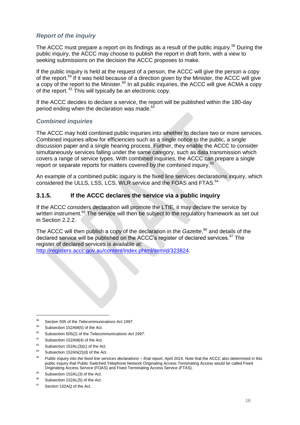#### *Report of the inquiry*

The ACCC must prepare a report on its findings as a result of the public inquiry.<sup>58</sup> During the public inquiry, the ACCC may choose to publish the report in draft form, with a view to seeking submissions on the decision the ACCC proposes to make.

If the public inquiry is held at the request of a person, the ACCC will give the person a copy of the report.<sup>59</sup> If it was held because of a direction given by the Minister, the ACCC will give a copy of the report to the Minister.<sup>60</sup> In all public inquiries, the ACCC will give ACMA a copy of the report. <sup>61</sup> This will typically be an electronic copy.

If the ACCC decides to declare a service, the report will be published within the 180-day period ending when the declaration was made.<sup>62</sup>

#### *Combined inquiries*

The ACCC may hold combined public inquiries into whether to declare two or more services. Combined inquiries allow for efficiencies such as a single notice to the public, a single discussion paper and a single hearing process. Further, they enable the ACCC to consider simultaneously services falling under the same category, such as data transmission which covers a range of service types. With combined inquiries, the ACCC can prepare a single report or separate reports for matters covered by the combined inquiry.<sup>63</sup>

An example of a combined public inquiry is the fixed line services declarations inquiry, which considered the ULLS, LSS, LCS, WLR service and the FOAS and FTAS.<sup>64</sup>

#### <span id="page-16-0"></span>**3.1.5. If the ACCC declares the service via a public inquiry**

If the ACCC considers declaration will promote the LTIE, it may declare the service by written instrument.<sup>65</sup> The service will then be subject to the regulatory framework as set out in Section [2.2.2.](#page-6-0)

The ACCC will then publish a copy of the declaration in the *Gazette*, <sup>66</sup> and details of the declared service will be published on the ACCC's register of declared services. $67$  The register of declared services is available at: [http://registers.accc.gov.au/content/index.phtml/itemId/323824.](http://registers.accc.gov.au/content/index.phtml/itemId/323824)

-

- <sup>61</sup> Subsection 152AM(4) of the Act.
- Subsection 152AL(3)(c) of the Act.
- $63$  Subsection 152AN(2)(d) of the Act.
- <sup>64</sup> *Public inquiry into the fixed line services declarations – final report*, April 2014. Note that the ACCC also determined in this public inquiry that Public Switched Telephone Network Originating Access Terminating Access would be called Fixed Originating Access Service (FOAS) and Fixed Terminating Access Service (FTAS).
- $^{65}$  Subsection 152AL(3) of the Act.

<sup>67</sup> Section 152AQ of the Act.

<sup>58</sup> Section 505 of the *Telecommunications Act 1997*.

<sup>59</sup> Subsection 152AM(5) of the Act.

<sup>60</sup> Subsection 505(2) of the *Telecommunications Act 1997*.

Subsection 152AL(5) of the Act.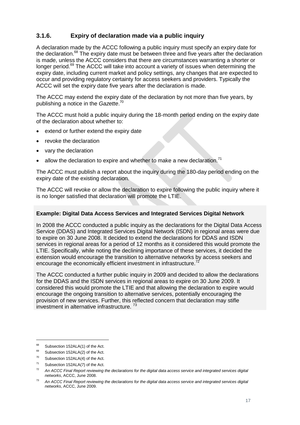### <span id="page-17-0"></span>**3.1.6. Expiry of declaration made via a public inquiry**

A declaration made by the ACCC following a public inquiry must specify an expiry date for the declaration.<sup>68</sup> The expiry date must be between three and five years after the declaration is made, unless the ACCC considers that there are circumstances warranting a shorter or longer period.<sup>69</sup> The ACCC will take into account a variety of issues when determining the expiry date, including current market and policy settings, any changes that are expected to occur and providing regulatory certainty for access seekers and providers. Typically the ACCC will set the expiry date five years after the declaration is made.

The ACCC may extend the expiry date of the declaration by not more than five years, by publishing a notice in the *Gazette*. 70

The ACCC must hold a public inquiry during the 18-month period ending on the expiry date of the declaration about whether to:

- extend or further extend the expiry date
- revoke the declaration
- vary the declaration
- allow the declaration to expire and whether to make a new declaration.<sup>71</sup>

The ACCC must publish a report about the inquiry during the 180-day period ending on the expiry date of the existing declaration.

The ACCC will revoke or allow the declaration to expire following the public inquiry where it is no longer satisfied that declaration will promote the LTIE.

#### **Example: Digital Data Access Services and Integrated Services Digital Network**

In 2008 the ACCC conducted a public inquiry as the declarations for the Digital Data Access Service (DDAS) and Integrated Services Digital Network (ISDN) in regional areas were due to expire on 30 June 2008. It decided to extend the declarations for DDAS and ISDN services in regional areas for a period of 12 months as it considered this would promote the LTIE. Specifically, while noting the declining importance of these services, it decided the extension would encourage the transition to alternative networks by access seekers and encourage the economically efficient investment in infrastructure.<sup>72</sup>

The ACCC conducted a further public inquiry in 2009 and decided to allow the declarations for the DDAS and the ISDN services in regional areas to expire on 30 June 2009. It considered this would promote the LTIE and that allowing the declaration to expire would encourage the ongoing transition to alternative services, potentially encouraging the provision of new services. Further, this reflected concern that declaration may stifle investment in alternative infrastructure.<sup>73</sup>

<sup>&</sup>lt;sup>68</sup> Subsection 152ALA(1) of the Act.

<sup>&</sup>lt;sup>69</sup> Subsection 152ALA(2) of the Act.

 $70$  Subsection 152ALA(4) of the Act.

<sup>71</sup> Subsection 152ALA(7) of the Act.

<sup>72</sup> *An ACCC Final Report reviewing the declarations for the digital data access service and integrated services digital networks*, ACCC, June 2008.

<sup>73</sup> *An ACCC Final Report reviewing the declarations for the digital data access service and integrated services digital networks*, ACCC, June 2009.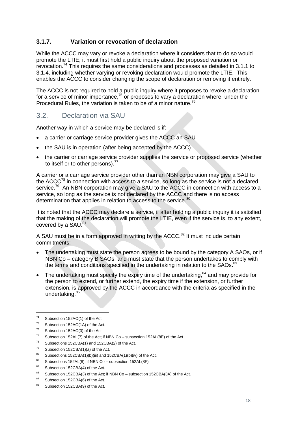#### <span id="page-18-0"></span>**3.1.7. Variation or revocation of declaration**

While the ACCC may vary or revoke a declaration where it considers that to do so would promote the LTIE, it must first hold a public inquiry about the proposed variation or revocation.<sup>74</sup> This requires the same considerations and processes as detailed in [3.1.1](#page-10-2) to [3.1.4,](#page-13-0) including whether varying or revoking declaration would promote the LTIE. This enables the ACCC to consider changing the scope of declaration or removing it entirely.

The ACCC is not required to hold a public inquiry where it proposes to revoke a declaration for a service of minor importance, $75$  or proposes to vary a declaration where, under the Procedural Rules, the variation is taken to be of a minor nature.<sup>76</sup>

### <span id="page-18-1"></span>3.2. Declaration via SAU

Another way in which a service may be declared is if:

- a carrier or carriage service provider gives the ACCC an SAU
- the SAU is in operation (after being accepted by the ACCC)
- the carrier or carriage service provider supplies the service or proposed service (whether to itself or to other persons). $<sup>7</sup>$ </sup>

A carrier or a carriage service provider other than an NBN corporation may give a SAU to the ACCC<sup>78</sup> in connection with access to a service, so long as the service is not a declared service.<sup>79</sup> An NBN corporation may give a SAU to the ACCC in connection with access to a service, so long as the service is not declared by the ACCC and there is no access determination that applies in relation to access to the service.<sup>80</sup>

It is noted that the ACCC may declare a service, if after holding a public inquiry it is satisfied that the making of the declaration will promote the LTIE, even if the service is, to any extent, covered by a SAU.<sup>81</sup>

A SAU must be in a form approved in writing by the ACCC.<sup>82</sup> It must include certain commitments:

- The undertaking must state the person agrees to be bound by the category A SAOs, or if NBN Co – category B SAOs, and must state that the person undertakes to comply with the terms and conditions specified in the undertaking in relation to the SAOs.<sup>83</sup>
- The undertaking must specify the expiry time of the undertaking,  $84$  and may provide for the person to extend, or further extend, the expiry time if the extension, or further extension, is approved by the ACCC in accordance with the criteria as specified in the undertaking.<sup>85</sup>

-

Subsections 152CBA(1) and 152CBA(2) of the Act.

<sup>74</sup> Subsection 152AO(1) of the Act.

<sup>75</sup> Subsection 152AO(1A) of the Act.

<sup>&</sup>lt;sup>76</sup> Subsection 152AO(3) of the Act.

<sup>&</sup>lt;sup>77</sup> Subsection 152AL(7) of the Act; if NBN Co – subsection 152AL(8E) of the Act.

 $79$  Subsection 152CBA(1)(a) of the Act.

<sup>&</sup>lt;sup>80</sup> Subsections 152CBA(1)(b)(iii) and 152CBA(1)(b)(iv) of the Act.

<sup>81</sup> Subsections 152AL(8); if NBN Co – subsection  $152AL(8F)$ .

<sup>82</sup> Subsection 152CBA(4) of the Act.

<sup>&</sup>lt;sup>83</sup> Subsection 152CBA(3) of the Act; if NBN Co – subsection 152CBA(3A) of the Act.

<sup>84</sup> Subsection 152CBA(6) of the Act.

<sup>85</sup> Subsection 152CBA(9) of the Act.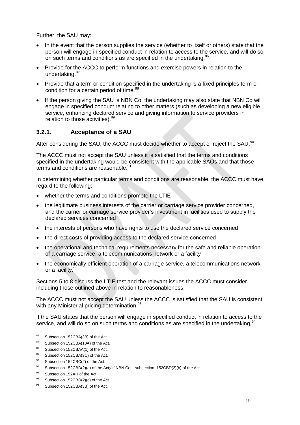Further, the SAU may:

- In the event that the person supplies the service (whether to itself or others) state that the person will engage in specified conduct in relation to access to the service, and will do so on such terms and conditions as are specified in the undertaking.<sup>86</sup>
- Provide for the ACCC to perform functions and exercise powers in relation to the undertaking.<sup>87</sup>
- Provide that a term or condition specified in the undertaking is a fixed principles term or condition for a certain period of time.<sup>88</sup>
- If the person giving the SAU is NBN Co, the undertaking may also state that NBN Co will engage in specified conduct relating to other matters (such as developing a new eligible service, enhancing declared service and giving information to service providers in relation to those activities). 89

#### <span id="page-19-0"></span>**3.2.1. Acceptance of a SAU**

After considering the SAU, the ACCC must decide whether to accept or reject the SAU.<sup>90</sup>

The ACCC must not accept the SAU unless it is satisfied that the terms and conditions specified in the undertaking would be consistent with the applicable SAOs and that those terms and conditions are reasonable.<sup>91</sup>

In determining whether particular terms and conditions are reasonable, the ACCC must have regard to the following:

- whether the terms and conditions promote the LTIE
- the legitimate business interests of the carrier or carriage service provider concerned, and the carrier or carriage service provider's investment in facilities used to supply the declared services concerned
- the interests of persons who have rights to use the declared service concerned
- the direct costs of providing access to the declared service concerned
- the operational and technical requirements necessary for the safe and reliable operation of a carriage service, a telecommunications network or a facility
- the economically efficient operation of a carriage service, a telecommunications network or a facility. 92

Sections [5](#page-27-0) to [8](#page-41-0) discuss the LTIE test and the relevant issues the ACCC must consider, including those outlined above in relation to reasonableness.

The ACCC must not accept the SAU unless the ACCC is satisfied that the SAU is consistent with any Ministerial pricing determination.<sup>93</sup>

If the SAU states that the person will engage in specified conduct in relation to access to the service, and will do so on such terms and conditions as are specified in the undertaking.  $94$ 

<sup>&</sup>lt;sup>86</sup> Subsection 152CBA(3B) of the Act.<br> $\frac{87}{2}$  Orthography 4580DA(48A) of the Act

Subsection 152CBA(10A) of the Act.

<sup>88</sup> Subsection 152CBAA(1) of the Act.

<sup>89</sup> Subsection 152CBA(3C) of the Act.

<sup>90</sup> Subsection 152CBC(2) of the Act.

<sup>&</sup>lt;sup>91</sup> Subsection 152CBD(2)(a) of the Act;/ if NBN Co – subsection. 152CBD(2)(b) of the Act.

<sup>&</sup>lt;sup>92</sup> Subsection 152AH of the Act.<br><sup>93</sup> Cubsection 453CBD(2)(c) of the

Subsection 152CBD(2)(c) of the Act.

<sup>94</sup> Subsection 152CBA(3B) of the Act.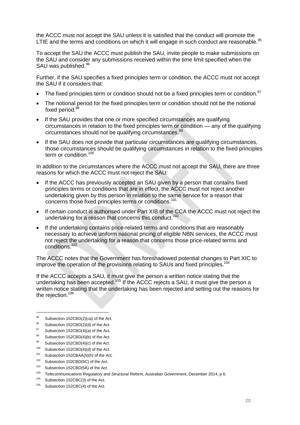the ACCC must not accept the SAU unless it is satisfied that the conduct will promote the LTIE and the terms and conditions on which it will engage in such conduct are reasonable.<sup>95</sup>

To accept the SAU the ACCC must publish the SAU, invite people to make submissions on the SAU and consider any submissions received within the time limit specified when the SAU was published.<sup>96</sup>

Further, if the SAU specifies a fixed principles term or condition, the ACCC must not accept the SAU if it considers that:

- $\bullet$  The fixed principles term or condition should not be a fixed principles term or condition.<sup>97</sup>
- The notional period for the fixed principles term or condition should not be the notional fixed period.<sup>98</sup>
- If the SAU provides that one or more specified circumstances are qualifying circumstances in relation to the fixed principles term or condition — any of the qualifying circumstances should not be qualifying circumstances.<sup>99</sup>
- If the SAU does not provide that particular circumstances are qualifying circumstances, those circumstances should be qualifying circumstances in relation to the fixed principles term or condition.<sup>100</sup>

In addition to the circumstances where the ACCC must not accept the SAU, there are three reasons for which the ACCC must not reject the SAU:

- If the ACCC has previously accepted an SAU given by a person that contains fixed principles terms or conditions that are in effect, the ACCC must not reject another undertaking given by this person in relation to the same service for a reason that concerns those fixed principles terms or conditions.<sup>101</sup>
- If certain conduct is authorised under Part XIB of the CCA the ACCC must not reject the undertaking for a reason that concerns this conduct.<sup>102</sup>
- If the undertaking contains price-related terms and conditions that are reasonably necessary to achieve uniform national pricing of eligible NBN services, the ACCC must not reject the undertaking for a reason that concerns those price-related terms and conditions.<sup>103</sup>

The ACCC notes that the Government has foreshadowed potential changes to Part XIC to improve the operation of the provisions relating to SAUs and fixed principles.<sup>104</sup>

If the ACCC accepts a SAU, it must give the person a written notice stating that the undertaking has been accepted.<sup>105</sup> If the ACCC rejects a SAU, it must give the person a written notice stating that the undertaking has been rejected and setting out the reasons for the rejection.<sup>106</sup>

<sup>&</sup>lt;sup>95</sup> Subsection 152CBD(2)(ca) of the Act.

 $96$  Subsection 152CBD(2)(d) of the Act.

<sup>&</sup>lt;sup>97</sup> Subsection 152CBD(4)(a) of the Act.

<sup>98</sup> Subsection 152CBD(4)(b) of the Act.

Subsection 152CBD(4)(c) of the Act.

<sup>&</sup>lt;sup>100</sup> Subsection 152CBD(4)(d) of the Act.

<sup>&</sup>lt;sup>101</sup> Subsection 152CBAA(5)(h) of the Act.

<sup>&</sup>lt;sup>102</sup> Subsection 152CBD(5C) of the Act.

<sup>&</sup>lt;sup>103</sup> Subsection 152CBD(5A) of the Act.

<sup>104</sup> *Telecommunications Regulatory and Structural Reform*, Australian Government, December 2014, p 6.

<sup>&</sup>lt;sup>105</sup> Subsection 152CBC(3) of the Act.

<sup>&</sup>lt;sup>106</sup> Subsection 152CBC(4) of the Act.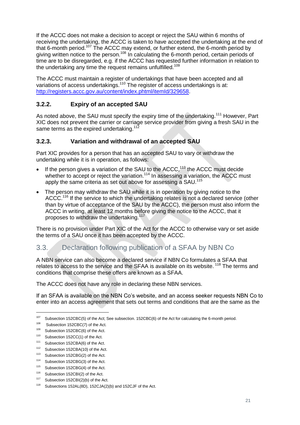If the ACCC does not make a decision to accept or reject the SAU within 6 months of receiving the undertaking, the ACCC is taken to have accepted the undertaking at the end of that 6-month period.<sup>107</sup> The ACCC may extend, or further extend, the 6-month period by giving written notice to the person.<sup>108</sup> In calculating the 6-month period, certain periods of time are to be disregarded, e.g. if the ACCC has requested further information in relation to the undertaking any time the request remains unfulfilled.<sup>109</sup>

The ACCC must maintain a register of undertakings that have been accepted and all variations of access undertakings.<sup>110</sup> The register of access undertakings is at: [http://registers.accc.gov.au/content/index.phtml/itemId/329658.](http://registers.accc.gov.au/content/index.phtml/itemId/329658)

#### <span id="page-21-0"></span>**3.2.2. Expiry of an accepted SAU**

As noted above, the SAU must specify the expiry time of the undertaking.<sup>111</sup> However, Part XIC does not prevent the carrier or carriage service provider from giving a fresh SAU in the same terms as the expired undertaking.<sup>112</sup>

#### <span id="page-21-1"></span>**3.2.3. Variation and withdrawal of an accepted SAU**

Part XIC provides for a person that has an accepted SAU to vary or withdraw the undertaking while it is in operation, as follows:

- If the person gives a variation of the SAU to the  $ACCC$ ,<sup>113</sup> the  $ACCC$  must decide whether to accept or reject the variation.<sup>114</sup> In assessing a variation, the ACCC must apply the same criteria as set out above for assessing a SAU.<sup>115</sup>
- The person may withdraw the SAU while it is in operation by giving notice to the ACCC.<sup>116</sup> If the service to which the undertaking relates is not a declared service (other than by virtue of acceptance of the SAU by the ACCC), the person must also inform the ACCC in writing, at least 12 months before giving the notice to the ACCC, that it proposes to withdraw the undertaking.<sup>117</sup>

There is no provision under Part XIC of the Act for the ACCC to otherwise vary or set aside the terms of a SAU once it has been accepted by the ACCC.

## <span id="page-21-2"></span>3.3. Declaration following publication of a SFAA by NBN Co

A NBN service can also become a declared service if NBN Co formulates a SFAA that relates to access to the service and the SFAA is available on its website.<sup>118</sup> The terms and conditions that comprise these offers are known as a SFAA.

The ACCC does not have any role in declaring these NBN services.

If an SFAA is available on the NBN Co's website, and an access seeker requests NBN Co to enter into an access agreement that sets out terms and conditions that are the same as the

<sup>&</sup>lt;sup>107</sup> Subsection 152CBC(5) of the Act; See subsection. 152CBC(6) of the Act for calculating the 6-month period.

<sup>108</sup> Subsection 152CBC(7) of the Act.

<sup>109</sup> Subsection 152CBC(6) of the Act.

<sup>&</sup>lt;sup>110</sup> Subsection 152CC(1) of the Act.

<sup>111</sup> Subsection 152CBA(6) of the Act.

<sup>112</sup> Subsection 152CBA(10) of the Act.

<sup>113</sup> Subsection 152CBG(2) of the Act.

<sup>114</sup> Subsection 152CBG(3) of the Act.

<sup>&</sup>lt;sup>115</sup> Subsection 152CBG(4) of the Act.

<sup>&</sup>lt;sup>116</sup> Subsection 152CBI(2) of the Act.

<sup>&</sup>lt;sup>117</sup> Subsection 152CBI(2)(b) of the Act.

<sup>118</sup> Subsections 152AL(8D), 152CJA(2)(b) and 152CJF of the Act.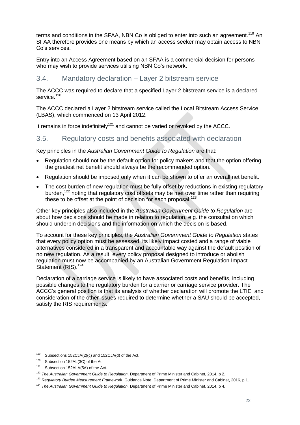terms and conditions in the SFAA, NBN Co is obliged to enter into such an agreement.<sup>119</sup> An SFAA therefore provides one means by which an access seeker may obtain access to NBN Co's services.

Entry into an Access Agreement based on an SFAA is a commercial decision for persons who may wish to provide services utilising NBN Co's network.

#### <span id="page-22-0"></span>3.4. Mandatory declaration – Layer 2 bitstream service

The ACCC was required to declare that a specified Layer 2 bitstream service is a declared service.<sup>120</sup>

The ACCC declared a Layer 2 bitstream service called the Local Bitstream Access Service (LBAS), which commenced on 13 April 2012.

It remains in force indefinitely<sup>121</sup> and cannot be varied or revoked by the ACCC.

#### <span id="page-22-1"></span>3.5. Regulatory costs and benefits associated with declaration

Key principles in the *Australian Government Guide to Regulation* are that:

- Regulation should not be the default option for policy makers and that the option offering the greatest net benefit should always be the recommended option.
- Regulation should be imposed only when it can be shown to offer an overall net benefit.
- The cost burden of new regulation must be fully offset by reductions in existing regulatory burden,<sup>122</sup> noting that regulatory cost offsets may be met over time rather than requiring these to be offset at the point of decision for each proposal.<sup>123</sup>

Other key principles also included in the *Australian Government Guide to Regulation* are about how decisions should be made in relation to regulation, e.g. the consultation which should underpin decisions and the information on which the decision is based.

To account for these key principles, the *Australian Government Guide to Regulation* states that every policy option must be assessed, its likely impact costed and a range of viable alternatives considered in a transparent and accountable way against the default position of no new regulation. As a result, every policy proposal designed to introduce or abolish regulation must now be accompanied by an Australian Government Regulation Impact Statement (RIS).<sup>124</sup>

Declaration of a carriage service is likely to have associated costs and benefits, including possible changes to the regulatory burden for a carrier or carriage service provider. The ACCC's general position is that its analysis of whether declaration will promote the LTIE, and consideration of the other issues required to determine whether a SAU should be accepted, satisfy the RIS requirements.

<sup>119</sup> Subsections 152CJA(2)(c) and 152CJA(d) of the Act.

<sup>&</sup>lt;sup>120</sup> Subsection 152AL(3C) of the Act.

<sup>121</sup> Subsection 152ALA(5A) of the Act.

<sup>122</sup> *The Australian Government Guide to Regulation*, Department of Prime Minister and Cabinet, 2014, p 2.

<sup>123</sup> *Regulatory Burden Measurement Framew*ork, Guidance Note, Department of Prime Minister and Cabinet, 2016, p 1.

<sup>124</sup> *The Australian Government Guide to Regulation*, Department of Prime Minister and Cabinet, 2014, p 4.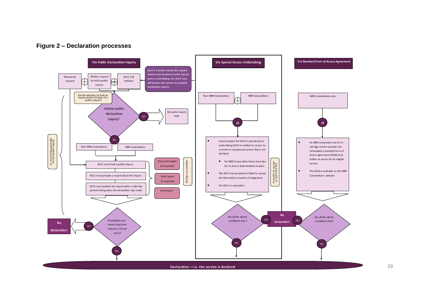

<span id="page-23-0"></span>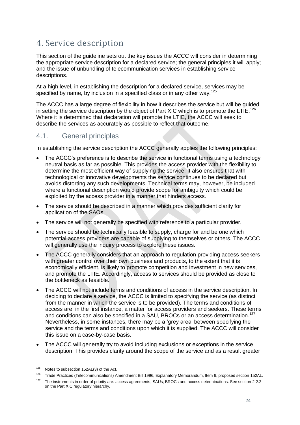## <span id="page-24-0"></span>4. Service description

This section of the guideline sets out the key issues the ACCC will consider in determining the appropriate service description for a declared service; the general principles it will apply; and the issue of unbundling of telecommunication services in establishing service descriptions.

At a high level, in establishing the description for a declared service, services may be specified by name, by inclusion in a specified class or in any other way.<sup>125</sup>

The ACCC has a large degree of flexibility in how it describes the service but will be guided in setting the service description by the object of Part XIC which is to promote the LTIE.<sup>126</sup> Where it is determined that declaration will promote the LTIE, the ACCC will seek to describe the services as accurately as possible to reflect that outcome.

## <span id="page-24-1"></span>4.1. General principles

In establishing the service description the ACCC generally applies the following principles:

- The ACCC's preference is to describe the service in functional terms using a technology neutral basis as far as possible. This provides the access provider with the flexibility to determine the most efficient way of supplying the service. It also ensures that with technological or innovative developments the service continues to be declared but avoids distorting any such developments. Technical terms may, however, be included where a functional description would provide scope for ambiguity which could be exploited by the access provider in a manner that hinders access.
- The service should be described in a manner which provides sufficient clarity for application of the SAOs.
- The service will not generally be specified with reference to a particular provider.
- The service should be technically feasible to supply, charge for and be one which potential access providers are capable of supplying to themselves or others. The ACCC will generally use the inquiry process to explore these issues.
- The ACCC generally considers that an approach to regulation providing access seekers with greater control over their own business and products, to the extent that it is economically efficient, is likely to promote competition and investment in new services, and promote the LTIE. Accordingly, access to services should be provided as close to the bottleneck as feasible.
- The ACCC will not include terms and conditions of access in the service description. In deciding to declare a service, the ACCC is limited to specifying the service (as distinct from the manner in which the service is to be provided). The terms and conditions of access are, in the first instance, a matter for access providers and seekers. These terms and conditions can also be specified in a SAU, BROCs or an access determination.<sup>127</sup> Nevertheless, in some instances, there may be a 'grey area' between specifying the service and the terms and conditions upon which it is supplied. The ACCC will consider this issue on a case-by-case basis.
- The ACCC will generally try to avoid including exclusions or exceptions in the service description. This provides clarity around the scope of the service and as a result greater

 $125$  Notes to subsection 152AL(3) of the Act.

<sup>126</sup> Trade Practices (Telecommunications) Amendment Bill 1996, Explanatory Memorandum, Item 6, proposed section 152AL.

<sup>&</sup>lt;sup>127</sup> The instruments in order of priority are: access agreements: SAUs; BROCs and access determinations. See sectio[n 2.2.2](#page-6-0) on the Part XIC regulatory hierarchy.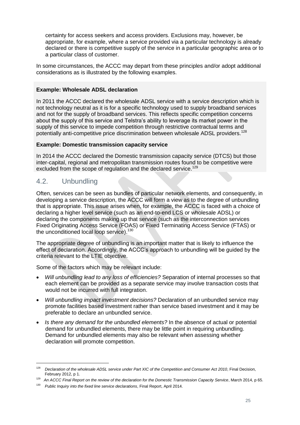certainty for access seekers and access providers. Exclusions may, however, be appropriate, for example, where a service provided via a particular technology is already declared or there is competitive supply of the service in a particular geographic area or to a particular class of customer.

In some circumstances, the ACCC may depart from these principles and/or adopt additional considerations as is illustrated by the following examples.

#### **Example: Wholesale ADSL declaration**

In 2011 the ACCC declared the wholesale ADSL service with a service description which is not technology neutral as it is for a specific technology used to supply broadband services and not for the supply of broadband services. This reflects specific competition concerns about the supply of this service and Telstra's ability to leverage its market power in the supply of this service to impede competition through restrictive contractual terms and potentially anti-competitive price discrimination between wholesale ADSL providers.<sup>128</sup>

#### **Example: Domestic transmission capacity service**

In 2014 the ACCC declared the Domestic transmission capacity service (DTCS) but those inter-capital, regional and metropolitan transmission routes found to be competitive were excluded from the scope of regulation and the declared service.<sup>129</sup>

### <span id="page-25-0"></span>4.2. Unbundling

-

Often, services can be seen as bundles of particular network elements, and consequently, in developing a service description, the ACCC will form a view as to the degree of unbundling that is appropriate. This issue arises when, for example, the ACCC is faced with a choice of declaring a higher level service (such as an end-to-end LCS or wholesale ADSL) or declaring the components making up that service (such as the interconnection services Fixed Originating Access Service (FOAS) or Fixed Terminating Access Service (FTAS) or the unconditioned local loop service).<sup>130</sup>

The appropriate degree of unbundling is an important matter that is likely to influence the effect of declaration. Accordingly, the ACCC's approach to unbundling will be guided by the criteria relevant to the LTIE objective.

Some of the factors which may be relevant include:

- *Will unbundling lead to any loss of efficiencies?* Separation of internal processes so that each element can be provided as a separate service may involve transaction costs that would not be incurred with full integration.
- *Will unbundling impact investment decisions?* Declaration of an unbundled service may promote facilities based investment rather than service based investment and it may be preferable to declare an unbundled service.
- *Is there any demand for the unbundled elements?* In the absence of actual or potential demand for unbundled elements, there may be little point in requiring unbundling. Demand for unbundled elements may also be relevant when assessing whether declaration will promote competition.

<sup>128</sup> *Declaration of the wholesale ADSL service under Part XIC of the Competition and Consumer Act 2010*, Final Decision, February 2012, p 1.

<sup>129</sup> *An ACCC Final Report on the review of the declaration for the Domestic Transmission Capacity Service*, March 2014, p 65.

<sup>130</sup> *Public Inquiry into the fixed line service declarations*, Final Report, April 2014.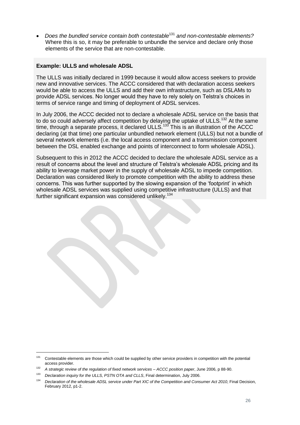*Does the bundled service contain both contestable*<sup>131</sup> *and non-contestable elements?* Where this is so, it may be preferable to unbundle the service and declare only those elements of the service that are non-contestable.

#### **Example: ULLS and wholesale ADSL**

The ULLS was initially declared in 1999 because it would allow access seekers to provide new and innovative services. The ACCC considered that with declaration access seekers would be able to access the ULLS and add their own infrastructure, such as DSLAMs to provide ADSL services. No longer would they have to rely solely on Telstra's choices in terms of service range and timing of deployment of ADSL services.

In July 2006, the ACCC decided not to declare a wholesale ADSL service on the basis that to do so could adversely affect competition by delaying the uptake of ULLS.<sup>132</sup> At the same time, through a separate process, it declared ULLS.<sup>133</sup> This is an illustration of the ACCC declaring (at that time) one particular unbundled network element (ULLS) but not a bundle of several network elements (i.e. the local access component and a transmission component between the DSL enabled exchange and points of interconnect to form wholesale ADSL).

Subsequent to this in 2012 the ACCC decided to declare the wholesale ADSL service as a result of concerns about the level and structure of Telstra's wholesale ADSL pricing and its ability to leverage market power in the supply of wholesale ADSL to impede competition. Declaration was considered likely to promote competition with the ability to address these concerns. This was further supported by the slowing expansion of the 'footprint' in which wholesale ADSL services was supplied using competitive infrastructure (ULLS) and that further significant expansion was considered unlikely.<sup>134</sup>

<sup>&</sup>lt;sup>131</sup> Contestable elements are those which could be supplied by other service providers in competition with the potential access provider.

<sup>132</sup> *A strategic review of the regulation of fixed network services – ACCC position paper*, June 2006, p 88-90.

<sup>133</sup> *Declaration inquiry for the ULLS, PSTN OTA and CLLS*, Final determination, July 2006.

<sup>&</sup>lt;sup>134</sup> Declaration of the wholesale ADSL service under Part XIC of the Competition and Consumer Act 2010. Final Decision, February 2012, p1-2.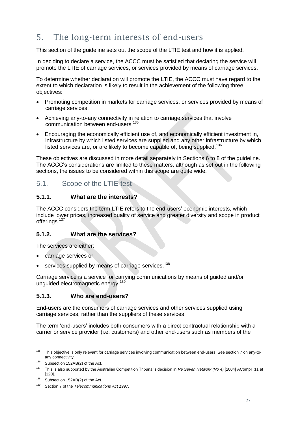## <span id="page-27-0"></span>5. The long-term interests of end-users

This section of the guideline sets out the scope of the LTIE test and how it is applied.

In deciding to declare a service, the ACCC must be satisfied that declaring the service will promote the LTIE of carriage services, or services provided by means of carriage services.

To determine whether declaration will promote the LTIE, the ACCC must have regard to the extent to which declaration is likely to result in the achievement of the following three objectives:

- Promoting competition in markets for carriage services, or services provided by means of carriage services.
- Achieving any-to-any connectivity in relation to carriage services that involve communication between end-users.<sup>135</sup>
- Encouraging the economically efficient use of, and economically efficient investment in, infrastructure by which listed services are supplied and any other infrastructure by which listed services are, or are likely to become capable of, being supplied.<sup>136</sup>

These objectives are discussed in more detail separately in Sections [6](#page-31-0) to 8 of the guideline. The ACCC's considerations are limited to these matters, although as set out in the following sections, the issues to be considered within this scope are quite wide.

### <span id="page-27-1"></span>5.1. Scope of the LTIE test

#### <span id="page-27-2"></span>**5.1.1. What are the interests?**

The ACCC considers the term LTIE refers to the end-users' economic interests, which include lower prices, increased quality of service and greater diversity and scope in product offerings.<sup>137</sup>

#### <span id="page-27-3"></span>**5.1.2. What are the services?**

The services are either:

- carriage services or
- services supplied by means of carriage services.<sup>138</sup>

Carriage service is a service for carrying communications by means of guided and/or unguided electromagnetic energy.<sup>139</sup>

#### <span id="page-27-4"></span>**5.1.3. Who are end-users?**

End-users are the consumers of carriage services and other services supplied using carriage services, rather than the suppliers of these services.

The term 'end-users' includes both consumers with a direct contractual relationship with a carrier or service provider (i.e. customers) and other end-users such as members of the

<sup>&</sup>lt;sup>135</sup> This objective is only relevant for carriage services involving communication between end-users. See section [7](#page-39-0) on any-toany connectivity.

 $136$  Subsection 152AB(2) of the Act.

<sup>137</sup> This is also supported by the Australian Competition Tribunal's decision in *Re Seven Network (No 4)* [2004] ACompT 11 at [120].

<sup>&</sup>lt;sup>138</sup> Subsection 152AB(2) of the Act.

<sup>139</sup> Section 7 of the *Telecommunications Act 1997*.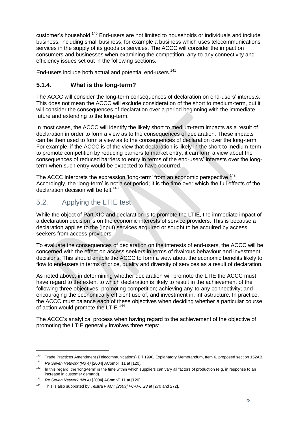customer's household.<sup>140</sup> End-users are not limited to households or individuals and include business, including small business, for example a business which uses telecommunications services in the supply of its goods or services. The ACCC will consider the impact on consumers and businesses when examining the competition, any-to-any connectivity and efficiency issues set out in the following sections.

End-users include both actual and potential end-users.<sup>141</sup>

#### <span id="page-28-0"></span>**5.1.4. What is the long-term?**

The ACCC will consider the long-term consequences of declaration on end-users' interests. This does not mean the ACCC will exclude consideration of the short to medium-term, but it will consider the consequences of declaration over a period beginning with the immediate future and extending to the long-term.

In most cases, the ACCC will identify the likely short to medium-term impacts as a result of declaration in order to form a view as to the consequences of declaration. These impacts can be then used to form a view as to the consequences of declaration over the long-term. For example, if the ACCC is of the view that declaration is likely in the short to medium-term to promote competition by reducing barriers to market entry, it can form a view about the consequences of reduced barriers to entry in terms of the end-users' interests over the longterm when such entry would be expected to have occurred.

The ACCC interprets the expression 'long-term' from an economic perspective.<sup>142</sup> Accordingly, the 'long-term' is not a set period; it is the time over which the full effects of the declaration decision will be felt.<sup>143</sup>

## <span id="page-28-1"></span>5.2. Applying the LTIE test

While the object of Part XIC and declaration is to promote the LTIE, the immediate impact of a declaration decision is on the economic interests of service providers. This is because a declaration applies to the (input) services acquired or sought to be acquired by access seekers from access providers.

To evaluate the consequences of declaration on the interests of end-users, the ACCC will be concerned with the effect on access seekers in terms of rivalrous behaviour and investment decisions. This should enable the ACCC to form a view about the economic benefits likely to flow to end-users in terms of price, quality and diversity of services as a result of declaration.

As noted above, in determining whether declaration will promote the LTIE the ACCC must have regard to the extent to which declaration is likely to result in the achievement of the following three objectives: promoting competition; achieving any-to-any connectivity; and encouraging the economically efficient use of, and investment in, infrastructure. In practice, the ACCC must balance each of these objectives when deciding whether a particular course of action would promote the LTIE.<sup>144</sup>

The ACCC's analytical process when having regard to the achievement of the objective of promoting the LTIE generally involves three steps:

<sup>140</sup> Trade Practices Amendment (Telecommunications) Bill 1996, Explanatory Memorandum, Item 6, proposed section 152AB.<br>141 De Saven Network (Ne. 4) 120041 ACompT 11 of 11201

<sup>141</sup> *Re Seven Network (No 4)* [2004] ACompT 11 at [120].

 $142$  In this regard, the 'long-term' is the time within which suppliers can vary all factors of production (e.g. in response to an increase in customer demand).

<sup>143</sup> *Re Seven Network (No 4)* [2004] ACompT 11 at [120].

<sup>144</sup> This is also supported by *Telstra v ACT [2009] FCAFC 23* at [270 and 272].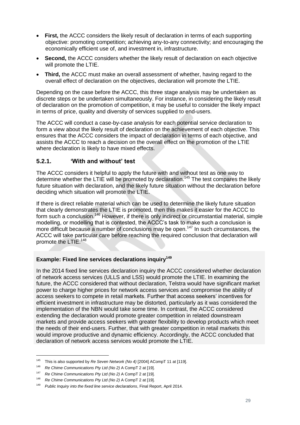- **First,** the ACCC considers the likely result of declaration in terms of each supporting objective: promoting competition; achieving any-to-any connectivity; and encouraging the economically efficient use of, and investment in, infrastructure.
- **Second,** the ACCC considers whether the likely result of declaration on each objective will promote the LTIE.
- **Third,** the ACCC must make an overall assessment of whether, having regard to the overall effect of declaration on the objectives, declaration will promote the LTIE.

Depending on the case before the ACCC, this three stage analysis may be undertaken as discrete steps or be undertaken simultaneously. For instance, in considering the likely result of declaration on the promotion of competition, it may be useful to consider the likely impact in terms of price, quality and diversity of services supplied to end-users.

The ACCC will conduct a case-by-case analysis for each potential service declaration to form a view about the likely result of declaration on the achievement of each objective. This ensures that the ACCC considers the impact of declaration in terms of each objective, and assists the ACCC to reach a decision on the overall effect on the promotion of the LTIE where declaration is likely to have mixed effects.

#### <span id="page-29-0"></span>**5.2.1. 'With and without' test**

The ACCC considers it helpful to apply the future with and without test as one way to determine whether the LTIE will be promoted by declaration.<sup>145</sup> The test compares the likely future situation with declaration, and the likely future situation without the declaration before deciding which situation will promote the LTIE.

If there is direct reliable material which can be used to determine the likely future situation that clearly demonstrates the LTIE is promoted, then this makes it easier for the ACCC to form such a conclusion.<sup>146</sup> However, if there is only indirect or circumstantial material, simple modelling, or modelling that is contested, the ACCC's task to make such a conclusion is more difficult because a number of conclusions may be open.<sup>147</sup> In such circumstances, the ACCC will take particular care before reaching the required conclusion that declaration will promote the LTIE.<sup>148</sup>

#### **Example: Fixed line services declarations inquiry<sup>149</sup>**

In the 2014 fixed line services declaration inquiry the ACCC considered whether declaration of network access services (ULLS and LSS) would promote the LTIE. In examining the future, the ACCC considered that without declaration, Telstra would have significant market power to charge higher prices for network access services and compromise the ability of access seekers to compete in retail markets. Further that access seekers' incentives for efficient investment in infrastructure may be distorted, particularly as it was considered the implementation of the NBN would take some time. In contrast, the ACCC considered extending the declaration would promote greater competition in related downstream markets and provide access seekers with greater flexibility to develop products which meet the needs of their end-users. Further, that with greater competition in retail markets this would improve productive and dynamic efficiency. Accordingly, the ACCC concluded that declaration of network access services would promote the LTIE.

<sup>145</sup> This is also supported by *Re Seven Network (No 4)* [2004] ACompT 11 at [119].

<sup>146</sup> *Re Chime Communications Pty Ltd (No 2)* A CompT 2 at [19].

<sup>147</sup> *Re Chime Communications Pty Ltd (No 2)* A CompT 2 at [19].

<sup>148</sup> *Re Chime Communications Pty Ltd (No 2)* A CompT 2 at [19].

<sup>149</sup> *Public Inquiry into the fixed line service declarations*, Final Report, April 2014.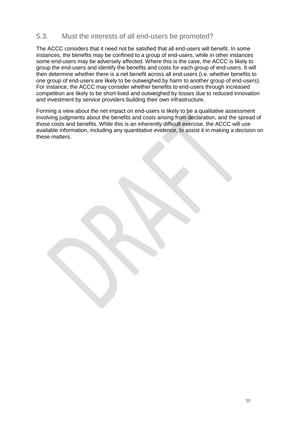## <span id="page-30-0"></span>5.3. Must the interests of all end-users be promoted?

The ACCC considers that it need not be satisfied that all end-users will benefit. In some instances, the benefits may be confined to a group of end-users, while in other instances some end-users may be adversely affected. Where this is the case, the ACCC is likely to group the end-users and identify the benefits and costs for each group of end-users. It will then determine whether there is a net benefit across all end-users (i.e. whether benefits to one group of end-users are likely to be outweighed by harm to another group of end-users). For instance, the ACCC may consider whether benefits to end-users through increased competition are likely to be short-lived and outweighed by losses due to reduced innovation and investment by service providers building their own infrastructure.

Forming a view about the net impact on end-users is likely to be a qualitative assessment involving judgments about the benefits and costs arising from declaration, and the spread of those costs and benefits. While this is an inherently difficult exercise, the ACCC will use available information, including any quantitative evidence, to assist it in making a decision on these matters.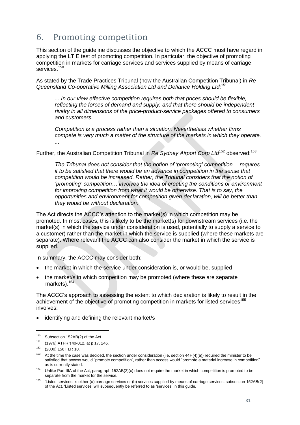## <span id="page-31-0"></span>6. Promoting competition

This section of the guideline discusses the objective to which the ACCC must have regard in applying the LTIE test of promoting competition. In particular, the objective of promoting competition in markets for carriage services and services supplied by means of carriage services.<sup>150</sup>

As stated by the Trade Practices Tribunal (now the Australian Competition Tribunal) in *Re Queensland Co-operative Milling Association Ltd and Defiance Holding Ltd:*<sup>151</sup>

*... In our view effective competition requires both that prices should be flexible, reflecting the forces of demand and supply, and that there should be independent rivalry in all dimensions of the price-product-service packages offered to consumers and customers.*

*Competition is a process rather than a situation. Nevertheless whether firms compete is very much a matter of the structure of the markets in which they operate. ...*

Further, the Australian Competition Tribunal in *Re Sydney Airport Corp Ltd*<sup>152</sup> observed:<sup>153</sup>

*The Tribunal does not consider that the notion of 'promoting' competition… requires it to be satisfied that there would be an advance in competition in the sense that competition would be increased. Rather, the Tribunal considers that the notion of 'promoting' competition… involves the idea of creating the conditions or environment for improving competition from what it would be otherwise. That is to say, the opportunities and environment for competition given declaration, will be better than they would be without declaration.*

The Act directs the ACCC's attention to the market(s) in which competition may be promoted. In most cases, this is likely to be the market(s) for downstream services (i.e. the market(s) in which the service under consideration is used, potentially to supply a service to a customer) rather than the market in which the service is supplied (where these markets are separate). Where relevant the ACCC can also consider the market in which the service is supplied.

In summary, the ACCC may consider both:

- the market in which the service under consideration is, or would be, supplied
- the market/s in which competition may be promoted (where these are separate markets).<sup>154</sup>

The ACCC's approach to assessing the extent to which declaration is likely to result in the achievement of the objective of promoting competition in markets for listed services<sup>155</sup> involves:

identifying and defining the relevant market/s

<sup>&</sup>lt;sup>150</sup> Subsection 152AB(2) of the Act.

<sup>151</sup> (1976) ATPR ¶40-012, at p 17, 246.

<sup>152</sup> (2000) 156 FLR 10.

 $153$  At the time the case was decided, the section under consideration (i.e. section  $44H(4)(a)$ ) required the minister to be satisfied that access would "promote competition", rather than access would "promote a material increase in competition" as is currently stated.

 $154$  Unlike Part IIIA of the Act, paragraph 152AB(2)(c) does not require the market in which competition is promoted to be separate from the market for the service.

<sup>155</sup> 'Listed services' is either (a) carriage services or (b) services supplied by means of carriage services: subsection 152AB(2) of the Act. 'Listed services' will subsequently be referred to as 'services' in this guide.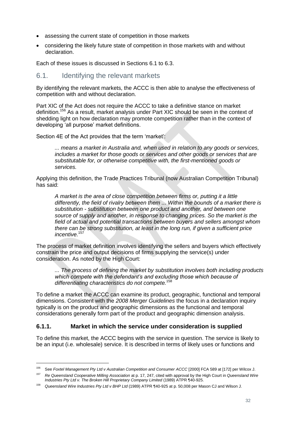- assessing the current state of competition in those markets
- considering the likely future state of competition in those markets with and without declaration.

Each of these issues is discussed in Sections [6.1](#page-32-0) to [6.3.](#page-35-0)

### <span id="page-32-0"></span>6.1. Identifying the relevant markets

By identifying the relevant markets, the ACCC is then able to analyse the effectiveness of competition with and without declaration.

Part XIC of the Act does not require the ACCC to take a definitive stance on market definition.<sup>156</sup> As a result, market analysis under Part XIC should be seen in the context of shedding light on how declaration may promote competition rather than in the context of developing 'all purpose' market definitions.

Section 4E of the Act provides that the term 'market':

*... means a market in Australia and, when used in relation to any goods or services, includes a market for those goods or services and other goods or services that are substitutable for, or otherwise competitive with, the first-mentioned goods or services.*

Applying this definition, the Trade Practices Tribunal (now Australian Competition Tribunal) has said:

*A market is the area of close competition between firms or, putting it a little differently, the field of rivalry between them ... Within the bounds of a market there is substitution - substitution between one product and another, and between one source of supply and another, in response to changing prices. So the market is the field of actual and potential transactions between buyers and sellers amongst whom there can be strong substitution, at least in the long run, if given a sufficient price incentive.*<sup>157</sup>

The process of market definition involves identifying the sellers and buyers which effectively constrain the price and output decisions of firms supplying the service(s) under consideration. As noted by the High Court:

*... The process of defining the market by substitution involves both including products which compete with the defendant's and excluding those which because of differentiating characteristics do not compete.*<sup>158</sup>

To define a market the ACCC can examine its product, geographic, functional and temporal dimensions. Consistent with the *2008 Merger Guidelines* the focus in a declaration inquiry typically is on the product and geographic dimensions as the functional and temporal considerations generally form part of the product and geographic dimension analysis.

#### <span id="page-32-1"></span>**6.1.1. Market in which the service under consideration is supplied**

To define this market, the ACCC begins with the service in question. The service is likely to be an input (i.e. wholesale) service. It is described in terms of likely uses or functions and

<sup>156</sup> See *Foxtel Management Pty Ltd v Australian Competition and Consumer ACCC* [2000] FCA 589 at [172] per Wilcox J.

<sup>157</sup> *Re Queensland Cooperative Milling Association* at p. 17, 247, cited with approval by the High Court in *Queensland Wire Industries Pty Ltd v. The Broken Hill Proprietary Company Limited* (1989) ATPR ¶40-925.

<sup>158</sup> *Queensland Wire Industries Pty Ltd v BHP Ltd* (1989) ATPR ¶40-925 at p. 50,008 per Mason CJ and Wilson J.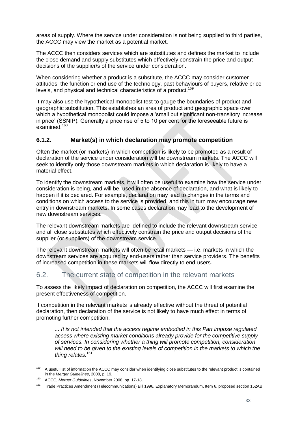areas of supply. Where the service under consideration is not being supplied to third parties, the ACCC may view the market as a potential market.

The ACCC then considers services which are substitutes and defines the market to include the close demand and supply substitutes which effectively constrain the price and output decisions of the supplier/s of the service under consideration.

When considering whether a product is a substitute, the ACCC may consider customer attitudes, the function or end use of the technology, past behaviours of buyers, relative price levels, and physical and technical characteristics of a product.<sup>159</sup>

It may also use the hypothetical monopolist test to gauge the boundaries of product and geographic substitution. This establishes an area of product and geographic space over which a hypothetical monopolist could impose a 'small but significant non-transitory increase in price' (SSNIP). Generally a price rise of 5 to 10 per cent for the foreseeable future is examined.<sup>160</sup>

#### <span id="page-33-0"></span>**6.1.2. Market(s) in which declaration may promote competition**

Often the market (or markets) in which competition is likely to be promoted as a result of declaration of the service under consideration will be downstream markets. The ACCC will seek to identify only those downstream markets in which declaration is likely to have a material effect.

To identify the downstream markets, it will often be useful to examine how the service under consideration is being, and will be, used in the absence of declaration, and what is likely to happen if it is declared. For example, declaration may lead to changes in the terms and conditions on which access to the service is provided, and this in turn may encourage new entry in downstream markets. In some cases declaration may lead to the development of new downstream services.

The relevant downstream markets are defined to include the relevant downstream service and all close substitutes which effectively constrain the price and output decisions of the supplier (or suppliers) of the downstream service.

The relevant downstream markets will often be retail markets — i.e. markets in which the downstream services are acquired by end-users rather than service providers. The benefits of increased competition in these markets will flow directly to end-users.

## <span id="page-33-1"></span>6.2. The current state of competition in the relevant markets

To assess the likely impact of declaration on competition, the ACCC will first examine the present effectiveness of competition.

If competition in the relevant markets is already effective without the threat of potential declaration, then declaration of the service is not likely to have much effect in terms of promoting further competition.

*... It is not intended that the access regime embodied in this Part impose regulated access where existing market conditions already provide for the competitive supply of services. In considering whether a thing will promote competition, consideration will need to be given to the existing levels of competition in the markets to which the thing relates.*<sup>161</sup>

<sup>&</sup>lt;sup>159</sup> A useful list of information the ACCC may consider when identifying close substitutes to the relevant product is contained in the *Merger Guidelines*, 2008, p. 19.

<sup>160</sup> ACCC, *Merger Guidelines*, November 2008, pp. 17-18.

<sup>161</sup> Trade Practices Amendment (Telecommunications) Bill 1996, Explanatory Memorandum, Item 6, proposed section 152AB.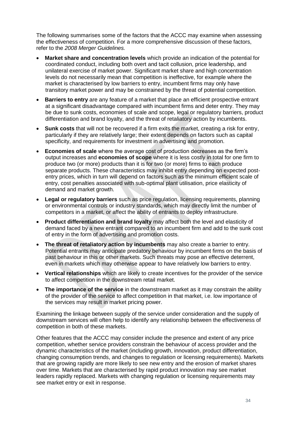The following summarises some of the factors that the ACCC may examine when assessing the effectiveness of competition. For a more comprehensive discussion of these factors, refer to the *2008 Merger Guidelines.*

- **Market share and concentration levels** which provide an indication of the potential for coordinated conduct, including both overt and tacit collusion, price leadership, and unilateral exercise of market power. Significant market share and high concentration levels do not necessarily mean that competition is ineffective, for example where the market is characterised by low barriers to entry, incumbent firms may only have transitory market power and may be constrained by the threat of potential competition.
- **Barriers to entry** are any feature of a market that place an efficient prospective entrant at a significant disadvantage compared with incumbent firms and deter entry. They may be due to sunk costs, economies of scale and scope, legal or regulatory barriers, product differentiation and brand loyalty, and the threat of retaliatory action by incumbents.
- **Sunk costs** that will not be recovered if a firm exits the market, creating a risk for entry, particularly if they are relatively large; their extent depends on factors such as capital specificity, and requirements for investment in advertising and promotion.
- **Economies of scale** where the average cost of production decreases as the firm's output increases and **economies of scope** where it is less costly in total for one firm to produce two (or more) products than it is for two (or more) firms to each produce separate products. These characteristics may inhibit entry depending on expected postentry prices, which in turn will depend on factors such as the minimum efficient scale of entry, cost penalties associated with sub-optimal plant utilisation, price elasticity of demand and market growth.
- **Legal or regulatory barriers** such as price regulation, licensing requirements, planning or environmental controls or industry standards, which may directly limit the number of competitors in a market, or affect the ability of entrants to deploy infrastructure.
- **Product differentiation and brand loyalty** may affect both the level and elasticity of demand faced by a new entrant compared to an incumbent firm and add to the sunk cost of entry in the form of advertising and promotion costs.
- **The threat of retaliatory action by incumbents** may also create a barrier to entry. Potential entrants may anticipate predatory behaviour by incumbent firms on the basis of past behaviour in this or other markets. Such threats may pose an effective deterrent, even in markets which may otherwise appear to have relatively low barriers to entry.
- **Vertical relationships** which are likely to create incentives for the provider of the service to affect competition in the downstream retail market.
- **The importance of the service** in the downstream market as it may constrain the ability of the provider of the service to affect competition in that market, i.e. low importance of the services may result in market pricing power.

Examining the linkage between supply of the service under consideration and the supply of downstream services will often help to identify any relationship between the effectiveness of competition in both of these markets.

Other features that the ACCC may consider include the presence and extent of any price competition, whether service providers constrain the behaviour of access provider and the dynamic characteristics of the market (including growth, innovation, product differentiation, changing consumption trends, and changes to regulation or licensing requirements). Markets that are growing rapidly are more likely to see new entry and the erosion of market shares over time. Markets that are characterised by rapid product innovation may see market leaders rapidly replaced. Markets with changing regulation or licensing requirements may see market entry or exit in response.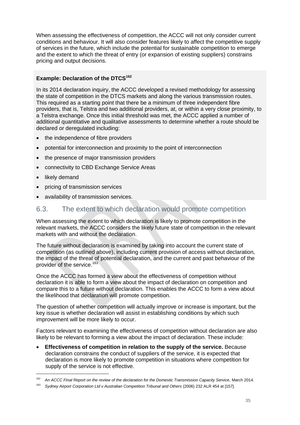When assessing the effectiveness of competition, the ACCC will not only consider current conditions and behaviour. It will also consider features likely to affect the competitive supply of services in the future, which include the potential for sustainable competition to emerge and the extent to which the threat of entry (or expansion of existing suppliers) constrains pricing and output decisions.

#### **Example: Declaration of the DTCS<sup>162</sup>**

In its 2014 declaration inquiry, the ACCC developed a revised methodology for assessing the state of competition in the DTCS markets and along the various transmission routes. This required as a starting point that there be a minimum of three independent fibre providers, that is, Telstra and two additional providers, at, or within a very close proximity, to a Telstra exchange. Once this initial threshold was met, the ACCC applied a number of additional quantitative and qualitative assessments to determine whether a route should be declared or deregulated including:

- the independence of fibre providers
- potential for interconnection and proximity to the point of interconnection
- the presence of major transmission providers
- connectivity to CBD Exchange Service Areas
- likely demand
- pricing of transmission services
- availability of transmission services.

### <span id="page-35-0"></span>6.3. The extent to which declaration would promote competition

When assessing the extent to which declaration is likely to promote competition in the relevant markets, the ACCC considers the likely future state of competition in the relevant markets with and without the declaration.

The future without declaration is examined by taking into account the current state of competition (as outlined above), including current provision of access without declaration, the impact of the threat of potential declaration, and the current and past behaviour of the provider of the service.<sup>163</sup>

Once the ACCC has formed a view about the effectiveness of competition without declaration it is able to form a view about the impact of declaration on competition and compare this to a future without declaration. This enables the ACCC to form a view about the likelihood that declaration will promote competition.

The question of whether competition will actually improve or increase is important, but the key issue is whether declaration will assist in establishing conditions by which such improvement will be more likely to occur.

Factors relevant to examining the effectiveness of competition without declaration are also likely to be relevant to forming a view about the impact of declaration. These include:

 **Effectiveness of competition in relation to the supply of the service.** Because declaration constrains the conduct of suppliers of the service, it is expected that declaration is more likely to promote competition in situations where competition for supply of the service is not effective.

<sup>162</sup> <sup>162</sup> *An ACCC Final Report on the review of the declaration for the Domestic Transmission Capacity Service*, March 2014.

<sup>163</sup> *Sydney Airport Corporation Ltd v Australian Competition Tribunal and Others* (2006) 232 ALR 454 at [157].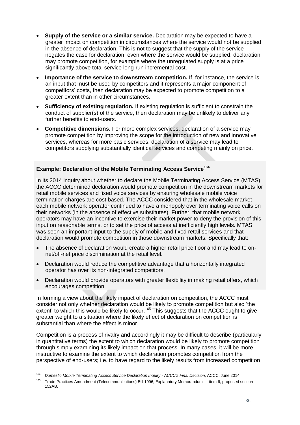- **Supply of the service or a similar service.** Declaration may be expected to have a greater impact on competition in circumstances where the service would not be supplied in the absence of declaration. This is not to suggest that the supply of the service negates the case for declaration; even where the service would be supplied, declaration may promote competition, for example where the unregulated supply is at a price significantly above total service long-run incremental cost.
- **Importance of the service to downstream competition.** If, for instance, the service is an input that must be used by competitors and it represents a major component of competitors' costs, then declaration may be expected to promote competition to a greater extent than in other circumstances.
- **Sufficiency of existing regulation.** If existing regulation is sufficient to constrain the conduct of supplier(s) of the service, then declaration may be unlikely to deliver any further benefits to end-users.
- **Competitive dimensions.** For more complex services, declaration of a service may promote competition by improving the scope for the introduction of new and innovative services, whereas for more basic services, declaration of a service may lead to competitors supplying substantially identical services and competing mainly on price.

#### **Example: Declaration of the Mobile Terminating Access Service<sup>164</sup>**

In its 2014 inquiry about whether to declare the Mobile Terminating Access Service (MTAS) the ACCC determined declaration would promote competition in the downstream markets for retail mobile services and fixed voice services by ensuring wholesale mobile voice termination charges are cost based. The ACCC considered that in the wholesale market each mobile network operator continued to have a monopoly over terminating voice calls on their networks (in the absence of effective substitutes). Further, that mobile network operators may have an incentive to exercise their market power to deny the provision of this input on reasonable terms, or to set the price of access at inefficiently high levels. MTAS was seen an important input to the supply of mobile and fixed retail services and that declaration would promote competition in those downstream markets. Specifically that:

- The absence of declaration would create a higher retail price floor and may lead to onnet/off-net price discrimination at the retail level.
- Declaration would reduce the competitive advantage that a horizontally integrated operator has over its non-integrated competitors.
- Declaration would provide operators with greater flexibility in making retail offers, which encourages competition.

In forming a view about the likely impact of declaration on competition, the ACCC must consider not only whether declaration would be likely to promote competition but also 'the extent' to which this would be likely to occur.<sup>165</sup> This suggests that the ACCC ought to give greater weight to a situation where the likely effect of declaration on competition is substantial than where the effect is minor.

Competition is a process of rivalry and accordingly it may be difficult to describe (particularly in quantitative terms) the extent to which declaration would be likely to promote competition through simply examining its likely impact on that process. In many cases, it will be more instructive to examine the extent to which declaration promotes competition from the perspective of end-users; i.e. to have regard to the likely results from increased competition

<sup>164</sup> *Domestic Mobile Terminating Access Service Declaration Inquiry - ACCC's Final Decision*, ACCC, June 2014.

<sup>165</sup> Trade Practices Amendment (Telecommunications) Bill 1996, Explanatory Memorandum — item 6, proposed section 152AB.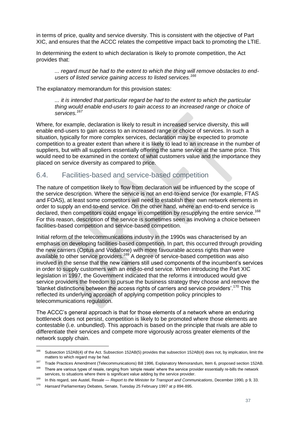in terms of price, quality and service diversity. This is consistent with the objective of Part XIC, and ensures that the ACCC relates the competitive impact back to promoting the LTIE.

In determining the extent to which declaration is likely to promote competition, the Act provides that:

*... regard must be had to the extent to which the thing will remove obstacles to endusers of listed service gaining access to listed services.<sup>166</sup>*

The explanatory memorandum for this provision states:

*... it is intended that particular regard be had to the extent to which the particular thing would enable end-users to gain access to an increased range or choice of services.<sup>167</sup>*

Where, for example, declaration is likely to result in increased service diversity, this will enable end-users to gain access to an increased range or choice of services. In such a situation, typically for more complex services, declaration may be expected to promote competition to a greater extent than where it is likely to lead to an increase in the number of suppliers, but with all suppliers essentially offering the same service at the same price. This would need to be examined in the context of what customers value and the importance they placed on service diversity as compared to price.

#### <span id="page-37-0"></span>6.4. Facilities-based and service-based competition

The nature of competition likely to flow from declaration will be influenced by the scope of the service description. Where the service is not an end-to-end service (for example, FTAS and FOAS), at least some competitors will need to establish their own network elements in order to supply an end-to-end service. On the other hand, where an end-to-end service is declared, then competitors could engage in competition by resupplying the entire service.<sup>168</sup> For this reason, description of the service is sometimes seen as involving a choice between facilities-based competition and service-based competition.

Initial reform of the telecommunications industry in the 1990s was characterised by an emphasis on developing facilities-based competition. In part, this occurred through providing the new carriers (Optus and Vodafone) with more favourable access rights than were available to other service providers.<sup>169</sup> A degree of service-based competition was also involved in the sense that the new carriers still used components of the incumbent's services in order to supply customers with an end-to-end service. When introducing the Part XIC legislation in 1997, the Government indicated that the reforms it introduced would give service providers the freedom to pursue the business strategy they choose and remove the 'blanket distinctions between the access rights of carriers and service providers'.<sup>170</sup> This reflected its underlying approach of applying competition policy principles to telecommunications regulation.

The ACCC's general approach is that for those elements of a network where an enduring bottleneck does not persist, competition is likely to be promoted where those elements are contestable (i.e. unbundled). This approach is based on the principle that rivals are able to differentiate their services and compete more vigorously across greater elements of the network supply chain.

<sup>&</sup>lt;sup>166</sup> Subsection 152AB(4) of the Act. Subsection 152AB(5) provides that subsection 152AB(4) does not, by implication, limit the matters to which regard may be had.

<sup>167</sup> Trade Practices Amendment (Telecommunications) Bill 1996, Explanatory Memorandum, Item 6, proposed section 152AB.

<sup>&</sup>lt;sup>168</sup> There are various types of resale, ranging from 'simple resale' where the service provider essentially re-bills the network services, to situations where there is significant value adding by the service provider.

<sup>169</sup> In this regard, see Austel, Resale — *Report to the Minister for Transport and Communications*, December 1990, p 9, 33.<br><sup>170</sup> Here and Decline setter: Debates, Canada: Tugodov 95 February 1907 at a 904, 905

<sup>170</sup> *Hansard* Parliamentary Debates, Senate, Tuesday 25 February 1997 at p 894-895.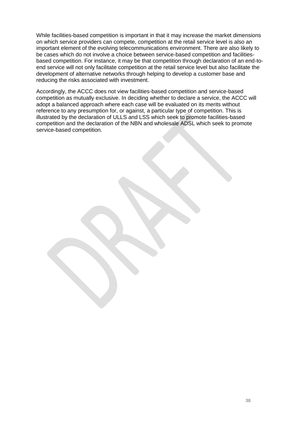While facilities-based competition is important in that it may increase the market dimensions on which service providers can compete, competition at the retail service level is also an important element of the evolving telecommunications environment. There are also likely to be cases which do not involve a choice between service-based competition and facilitiesbased competition. For instance, it may be that competition through declaration of an end-toend service will not only facilitate competition at the retail service level but also facilitate the development of alternative networks through helping to develop a customer base and reducing the risks associated with investment.

Accordingly, the ACCC does not view facilities-based competition and service-based competition as mutually exclusive. In deciding whether to declare a service, the ACCC will adopt a balanced approach where each case will be evaluated on its merits without reference to any presumption for, or against, a particular type of competition. This is illustrated by the declaration of ULLS and LSS which seek to promote facilities-based competition and the declaration of the NBN and wholesale ADSL which seek to promote service-based competition.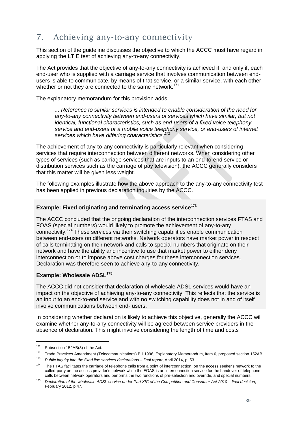## <span id="page-39-0"></span>7. Achieving any-to-any connectivity

This section of the guideline discusses the objective to which the ACCC must have regard in applying the LTIE test of achieving any-to-any connectivity.

The Act provides that the objective of any-to-any connectivity is achieved if, and only if, each end-user who is supplied with a carriage service that involves communication between endusers is able to communicate, by means of that service, or a similar service, with each other whether or not they are connected to the same network.<sup>171</sup>

The explanatory memorandum for this provision adds:

*... Reference to similar services is intended to enable consideration of the need for any-to-any connectivity between end-users of services which have similar, but not identical, functional characteristics, such as end-users of a fixed voice telephony service and end-users or a mobile voice telephony service, or end-users of internet services which have differing characteristics.<sup>172</sup>*

The achievement of any-to-any connectivity is particularly relevant when considering services that require interconnection between different networks. When considering other types of services (such as carriage services that are inputs to an end-to-end service or distribution services such as the carriage of pay television), the ACCC generally considers that this matter will be given less weight.

The following examples illustrate how the above approach to the any-to-any connectivity test has been applied in previous declaration inquiries by the ACCC.

#### **Example: Fixed originating and terminating access service<sup>173</sup>**

The ACCC concluded that the ongoing declaration of the interconnection services FTAS and FOAS (special numbers) would likely to promote the achievement of any-to-any connectivity.<sup>174</sup> These services via their switching capabilities enable communication between end-users on different networks. Network operators have market power in respect of calls terminating on their network and calls to special numbers that originate on their network and have the ability and incentive to use that market power to either deny interconnection or to impose above cost charges for these interconnection services. Declaration was therefore seen to achieve any-to-any connectivity.

#### **Example: Wholesale ADSL<sup>175</sup>**

The ACCC did not consider that declaration of wholesale ADSL services would have an impact on the objective of achieving any-to-any connectivity. This reflects that the service is an input to an end-to-end service and with no switching capability does not in and of itself involve communications between end- users.

In considering whether declaration is likely to achieve this objective, generally the ACCC will examine whether any-to-any connectivity will be agreed between service providers in the absence of declaration. This might involve considering the length of time and costs

<sup>171</sup> Subsection 152AB(8) of the Act.

<sup>&</sup>lt;sup>172</sup> Trade Practices Amendment (Telecommunications) Bill 1996, Explanatory Memorandum, Item 6, proposed section 152AB.

<sup>173</sup> *Public inquiry into the fixed line services declarations – final report*, April 2014, p. 53.

<sup>&</sup>lt;sup>174</sup> The FTAS facilitates the carriage of telephone calls from a point of interconnection on the access seeker's network to the called-party on the access provider's network while the FOAS is an interconnection service for the handover of telephone calls between network operators and performs the two functions of pre-selection and override, and special numbers.

<sup>175</sup> *Declaration of the wholesale ADSL service under Part XIC of the Competition and Consumer Act 2010 – final decision*, February 2012, p.47.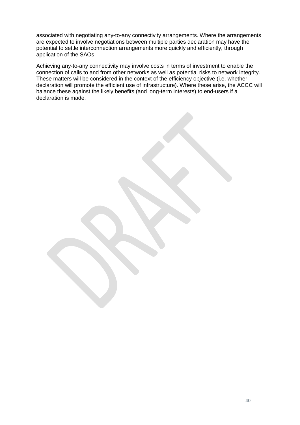associated with negotiating any-to-any connectivity arrangements. Where the arrangements are expected to involve negotiations between multiple parties declaration may have the potential to settle interconnection arrangements more quickly and efficiently, through application of the SAOs.

Achieving any-to-any connectivity may involve costs in terms of investment to enable the connection of calls to and from other networks as well as potential risks to network integrity. These matters will be considered in the context of the efficiency objective (i.e. whether declaration will promote the efficient use of infrastructure). Where these arise, the ACCC will balance these against the likely benefits (and long-term interests) to end-users if a declaration is made.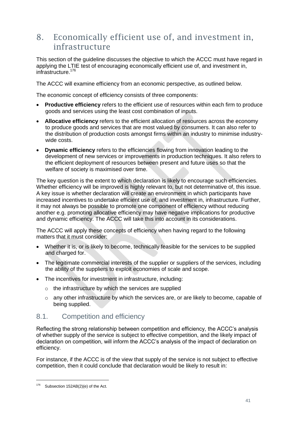## <span id="page-41-0"></span>8. Economically efficient use of, and investment in, infrastructure

This section of the guideline discusses the objective to which the ACCC must have regard in applying the LTIE test of encouraging economically efficient use of, and investment in, infrastructure.<sup>176</sup>

The ACCC will examine efficiency from an economic perspective, as outlined below.

The economic concept of efficiency consists of three components:

- **Productive efficiency** refers to the efficient use of resources within each firm to produce goods and services using the least cost combination of inputs.
- **Allocative efficiency** refers to the efficient allocation of resources across the economy to produce goods and services that are most valued by consumers. It can also refer to the distribution of production costs amongst firms within an industry to minimise industrywide costs.
- **Dynamic efficiency** refers to the efficiencies flowing from innovation leading to the development of new services or improvements in production techniques. It also refers to the efficient deployment of resources between present and future uses so that the welfare of society is maximised over time.

The key question is the extent to which declaration is likely to encourage such efficiencies. Whether efficiency will be improved is highly relevant to, but not determinative of, this issue. A key issue is whether declaration will create an environment in which participants have increased incentives to undertake efficient use of, and investment in, infrastructure. Further, it may not always be possible to promote one component of efficiency without reducing another e.g. promoting allocative efficiency may have negative implications for productive and dynamic efficiency. The ACCC will take this into account in its considerations.

The ACCC will apply these concepts of efficiency when having regard to the following matters that it must consider:

- Whether it is, or is likely to become, technically feasible for the services to be supplied and charged for.
- The legitimate commercial interests of the supplier or suppliers of the services, including the ability of the suppliers to exploit economies of scale and scope.
- The incentives for investment in infrastructure, including:
	- o the infrastructure by which the services are supplied
	- $\circ$  any other infrastructure by which the services are, or are likely to become, capable of being supplied.

#### <span id="page-41-1"></span>8.1. Competition and efficiency

Reflecting the strong relationship between competition and efficiency, the ACCC's analysis of whether supply of the service is subject to effective competition, and the likely impact of declaration on competition, will inform the ACCC's analysis of the impact of declaration on efficiency.

For instance, if the ACCC is of the view that supply of the service is not subject to effective competition, then it could conclude that declaration would be likely to result in:

<sup>&</sup>lt;sup>176</sup> Subsection 152AB(2)(e) of the Act.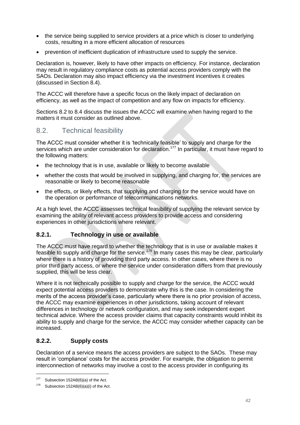- the service being supplied to service providers at a price which is closer to underlying costs, resulting in a more efficient allocation of resources
- prevention of inefficient duplication of infrastructure used to supply the service.

Declaration is, however, likely to have other impacts on efficiency. For instance, declaration may result in regulatory compliance costs as potential access providers comply with the SAOs. Declaration may also impact efficiency via the investment incentives it creates (discussed in Section [8.4\)](#page-44-0).

The ACCC will therefore have a specific focus on the likely impact of declaration on efficiency, as well as the impact of competition and any flow on impacts for efficiency.

Sections [8.2](#page-42-0) to [8.4](#page-44-0) discuss the issues the ACCC will examine when having regard to the matters it must consider as outlined above.

### <span id="page-42-0"></span>8.2. Technical feasibility

The ACCC must consider whether it is 'technically feasible' to supply and charge for the services which are under consideration for declaration.<sup>177</sup> In particular, it must have regard to the following matters:

- the technology that is in use, available or likely to become available
- whether the costs that would be involved in supplying, and charging for, the services are reasonable or likely to become reasonable
- the effects, or likely effects, that supplying and charging for the service would have on the operation or performance of telecommunications networks.

At a high level, the ACCC assesses technical feasibility of supplying the relevant service by examining the ability of relevant access providers to provide access and considering experiences in other jurisdictions where relevant.

#### <span id="page-42-1"></span>**8.2.1. Technology in use or available**

The ACCC must have regard to whether the technology that is in use or available makes it feasible to supply and charge for the service.<sup>178</sup> In many cases this may be clear, particularly where there is a history of providing third party access. In other cases, where there is no prior third party access, or where the service under consideration differs from that previously supplied, this will be less clear.

Where it is not technically possible to supply and charge for the service, the ACCC would expect potential access providers to demonstrate why this is the case. In considering the merits of the access provider's case, particularly where there is no prior provision of access, the ACCC may examine experiences in other jurisdictions, taking account of relevant differences in technology or network configuration, and may seek independent expert technical advice. Where the access provider claims that capacity constraints would inhibit its ability to supply and charge for the service, the ACCC may consider whether capacity can be increased.

#### <span id="page-42-2"></span>**8.2.2. Supply costs**

Declaration of a service means the access providers are subject to the SAOs. These may result in 'compliance' costs for the access provider. For example, the obligation to permit interconnection of networks may involve a cost to the access provider in configuring its

<sup>177</sup> Subsection 152AB(6)(a) of the Act.

 $178$  Subsection 152AB(6)(a)(i) of the Act.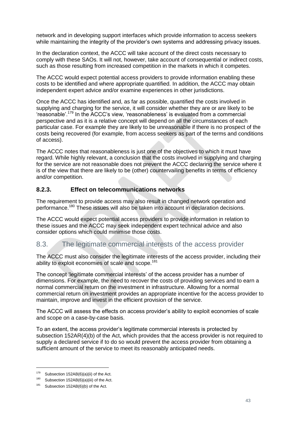network and in developing support interfaces which provide information to access seekers while maintaining the integrity of the provider's own systems and addressing privacy issues.

In the declaration context, the ACCC will take account of the direct costs necessary to comply with these SAOs. It will not, however, take account of consequential or indirect costs, such as those resulting from increased competition in the markets in which it competes.

The ACCC would expect potential access providers to provide information enabling these costs to be identified and where appropriate quantified. In addition, the ACCC may obtain independent expert advice and/or examine experiences in other jurisdictions.

Once the ACCC has identified and, as far as possible, quantified the costs involved in supplying and charging for the service, it will consider whether they are or are likely to be 'reasonable'.<sup>179</sup> In the ACCC's view, 'reasonableness' is evaluated from a commercial perspective and as it is a relative concept will depend on all the circumstances of each particular case. For example they are likely to be unreasonable if there is no prospect of the costs being recovered (for example, from access seekers as part of the terms and conditions of access).

The ACCC notes that reasonableness is just one of the objectives to which it must have regard. While highly relevant, a conclusion that the costs involved in supplying and charging for the service are not reasonable does not prevent the ACCC declaring the service where it is of the view that there are likely to be (other) countervailing benefits in terms of efficiency and/or competition.

#### <span id="page-43-0"></span>**8.2.3. Effect on telecommunications networks**

The requirement to provide access may also result in changed network operation and performance.<sup>180</sup> These issues will also be taken into account in declaration decisions.

The ACCC would expect potential access providers to provide information in relation to these issues and the ACCC may seek independent expert technical advice and also consider options which could minimise those costs.

## <span id="page-43-1"></span>8.3. The legitimate commercial interests of the access provider

The ACCC must also consider the legitimate interests of the access provider, including their ability to exploit economies of scale and scope.<sup>181</sup>

The concept 'legitimate commercial interests' of the access provider has a number of dimensions. For example, the need to recover the costs of providing services and to earn a normal commercial return on the investment in infrastructure. Allowing for a normal commercial return on investment provides an appropriate incentive for the access provider to maintain, improve and invest in the efficient provision of the service.

The ACCC will assess the effects on access provider's ability to exploit economies of scale and scope on a case-by-case basis.

To an extent, the access provider's legitimate commercial interests is protected by subsection 152AR(4)(b) of the Act, which provides that the access provider is not required to supply a declared service if to do so would prevent the access provider from obtaining a sufficient amount of the service to meet its reasonably anticipated needs.

Subsection 152AB(6)(a)(ii) of the Act.

<sup>&</sup>lt;sup>180</sup> Subsection 152AB(6)(a)(iii) of the Act.

<sup>&</sup>lt;sup>181</sup> Subsection 152AB(6)(b) of the Act.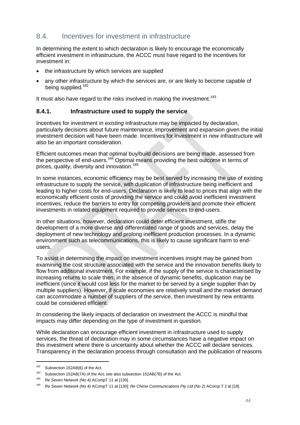## <span id="page-44-0"></span>8.4. Incentives for investment in infrastructure

In determining the extent to which declaration is likely to encourage the economically efficient investment in infrastructure, the ACCC must have regard to the incentives for investment in:

- the infrastructure by which services are supplied
- any other infrastructure by which the services are, or are likely to become capable of being supplied.<sup>182</sup>

It must also have regard to the risks involved in making the investment.<sup>183</sup>

#### <span id="page-44-1"></span>**8.4.1. Infrastructure used to supply the service**

Incentives for investment in *existing* infrastructure may be impacted by declaration, particularly decisions about future maintenance, improvement and expansion given the initial investment decision will have been made. Incentives for investment in *new* infrastructure will also be an important consideration.

Efficient outcomes mean that optimal buy/build decisions are being made, assessed from the perspective of end-users.<sup>184</sup> Optimal means providing the best outcome in terms of prices, quality, diversity and innovation.<sup>185</sup>

In some instances, economic efficiency may be best served by increasing the use of existing infrastructure to supply the service, with duplication of infrastructure being inefficient and leading to higher costs for end-users. Declaration is likely to lead to prices that align with the economically efficient costs of providing the service and could avoid inefficient investment incentives, reduce the barriers to entry for competing providers and promote their efficient investments in related equipment required to provide services to end-users.

In other situations, however, declaration could deter efficient investment, stifle the development of a more diverse and differentiated range of goods and services, delay the deployment of new technology and prolong inefficient production processes. In a dynamic environment such as telecommunications, this is likely to cause significant harm to endusers.

To assist in determining the impact on investment incentives insight may be gained from examining the cost structure associated with the service and the innovation benefits likely to flow from additional investment. For example, if the supply of the service is characterised by increasing returns to scale then, in the absence of dynamic benefits, duplication may be inefficient (since it would cost less for the market to be served by a single supplier than by multiple suppliers). However, if scale economies are relatively small and the market demand can accommodate a number of suppliers of the service, then investment by new entrants could be considered efficient.

In considering the likely impacts of declaration on investment the ACCC is mindful that impacts may differ depending on the type of investment in question.

While declaration can encourage efficient investment in infrastructure used to supply services, the threat of declaration may in some circumstances have a negative impact on this investment where there is uncertainty about whether the ACCC will declare services. Transparency in the declaration process through consultation and the publication of reasons

<sup>&</sup>lt;sup>182</sup> Subsection 152AB(6) of the Act.

<sup>&</sup>lt;sup>183</sup> Subsection 152AB(7A) of the Act; see also subsection 152AB(7B) of the Act.

<sup>184</sup> *Re Seven Network (No 4)* ACompT 11 at [130].

<sup>185</sup> *Re Seven Network (No 4)* ACompT 11 at [130]; *Re Chime Communications Pty Ltd (No 2)* AComp T 2 at [18].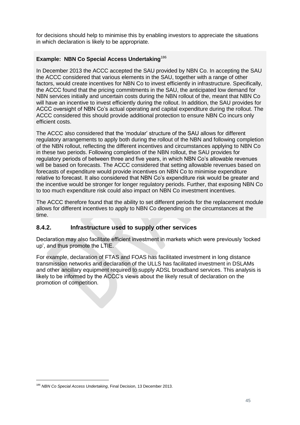for decisions should help to minimise this by enabling investors to appreciate the situations in which declaration is likely to be appropriate.

#### **Example: NBN Co Special Access Undertaking**<sup>186</sup>

In December 2013 the ACCC accepted the SAU provided by NBN Co. In accepting the SAU the ACCC considered that various elements in the SAU, together with a range of other factors, would create incentives for NBN Co to invest efficiently in infrastructure. Specifically, the ACCC found that the pricing commitments in the SAU, the anticipated low demand for NBN services initially and uncertain costs during the NBN rollout of the, meant that NBN Co will have an incentive to invest efficiently during the rollout. In addition, the SAU provides for ACCC oversight of NBN Co's actual operating and capital expenditure during the rollout. The ACCC considered this should provide additional protection to ensure NBN Co incurs only efficient costs.

The ACCC also considered that the 'modular' structure of the SAU allows for different regulatory arrangements to apply both during the rollout of the NBN and following completion of the NBN rollout, reflecting the different incentives and circumstances applying to NBN Co in these two periods. Following completion of the NBN rollout, the SAU provides for regulatory periods of between three and five years, in which NBN Co's allowable revenues will be based on forecasts. The ACCC considered that setting allowable revenues based on forecasts of expenditure would provide incentives on NBN Co to minimise expenditure relative to forecast. It also considered that NBN Co's expenditure risk would be greater and the incentive would be stronger for longer regulatory periods. Further, that exposing NBN Co to too much expenditure risk could also impact on NBN Co investment incentives.

The ACCC therefore found that the ability to set different periods for the replacement module allows for different incentives to apply to NBN Co depending on the circumstances at the time.

#### <span id="page-45-0"></span>**8.4.2. Infrastructure used to supply other services**

Declaration may also facilitate efficient investment in markets which were previously 'locked up', and thus promote the LTIE.

For example, declaration of FTAS and FOAS has facilitated investment in long distance transmission networks and declaration of the ULLS has facilitated investment in DSLAMs and other ancillary equipment required to supply ADSL broadband services. This analysis is likely to be informed by the ACCC's views about the likely result of declaration on the promotion of competition.

<sup>186</sup> *NBN Co Special Access Undertaking*, Final Decision, 13 December 2013.